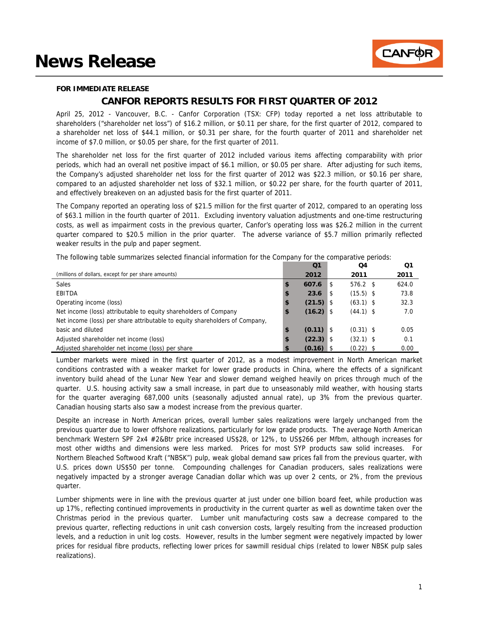

### **FOR IMMEDIATE RELEASE**

# **CANFOR REPORTS RESULTS FOR FIRST QUARTER OF 2012**

April 25, 2012 - Vancouver, B.C. - Canfor Corporation (TSX: CFP) today reported a net loss attributable to shareholders ("shareholder net loss") of \$16.2 million, or \$0.11 per share, for the first quarter of 2012, compared to a shareholder net loss of \$44.1 million, or \$0.31 per share, for the fourth quarter of 2011 and shareholder net income of \$7.0 million, or \$0.05 per share, for the first quarter of 2011.

The shareholder net loss for the first quarter of 2012 included various items affecting comparability with prior periods, which had an overall net positive impact of \$6.1 million, or \$0.05 per share. After adjusting for such items, the Company's adjusted shareholder net loss for the first quarter of 2012 was \$22.3 million, or \$0.16 per share, compared to an adjusted shareholder net loss of \$32.1 million, or \$0.22 per share, for the fourth quarter of 2011, and effectively breakeven on an adjusted basis for the first quarter of 2011.

The Company reported an operating loss of \$21.5 million for the first quarter of 2012, compared to an operating loss of \$63.1 million in the fourth quarter of 2011. Excluding inventory valuation adjustments and one-time restructuring costs, as well as impairment costs in the previous quarter, Canfor's operating loss was \$26.2 million in the current quarter compared to \$20.5 million in the prior quarter. The adverse variance of \$5.7 million primarily reflected weaker results in the pulp and paper segment.

The following table summarizes selected financial information for the Company for the comparative periods:

|                                                                             |     | Q <sub>1</sub> |   | Q4          | Q <sub>1</sub> |
|-----------------------------------------------------------------------------|-----|----------------|---|-------------|----------------|
| (millions of dollars, except for per share amounts)                         |     | 2012           |   | 2011        | 2011           |
| Sales                                                                       | \$. | 607.6          | S | $576.2$ \$  | 624.0          |
| EBITDA                                                                      |     | 23.6           | S | $(15.5)$ \$ | 73.8           |
| Operating income (loss)                                                     | \$  | $(21.5)$ \$    |   | $(63.1)$ \$ | 32.3           |
| Net income (loss) attributable to equity shareholders of Company            | \$  | $(16.2)$ \$    |   | $(44.1)$ \$ | 7.0            |
| Net income (loss) per share attributable to equity shareholders of Company, |     |                |   |             |                |
| basic and diluted                                                           | \$  | $(0.11)$ \$    |   | $(0.31)$ \$ | 0.05           |
| Adjusted shareholder net income (loss)                                      | \$  | $(22.3)$ \$    |   | $(32.1)$ \$ | 0.1            |
| Adjusted shareholder net income (loss) per share                            |     | $(0.16)$ \$    |   | $(0.22)$ \$ | 0.00           |

Lumber markets were mixed in the first quarter of 2012, as a modest improvement in North American market conditions contrasted with a weaker market for lower grade products in China, where the effects of a significant inventory build ahead of the Lunar New Year and slower demand weighed heavily on prices through much of the quarter. U.S. housing activity saw a small increase, in part due to unseasonably mild weather, with housing starts for the quarter averaging 687,000 units (seasonally adjusted annual rate), up 3% from the previous quarter. Canadian housing starts also saw a modest increase from the previous quarter.

Despite an increase in North American prices, overall lumber sales realizations were largely unchanged from the previous quarter due to lower offshore realizations, particularly for low grade products. The average North American benchmark Western SPF 2x4 #2&Btr price increased US\$28, or 12%, to US\$266 per Mfbm, although increases for most other widths and dimensions were less marked. Prices for most SYP products saw solid increases. For Northern Bleached Softwood Kraft ("NBSK") pulp, weak global demand saw prices fall from the previous quarter, with U.S. prices down US\$50 per tonne. Compounding challenges for Canadian producers, sales realizations were negatively impacted by a stronger average Canadian dollar which was up over 2 cents, or 2%, from the previous quarter.

Lumber shipments were in line with the previous quarter at just under one billion board feet, while production was up 17%, reflecting continued improvements in productivity in the current quarter as well as downtime taken over the Christmas period in the previous quarter. Lumber unit manufacturing costs saw a decrease compared to the previous quarter, reflecting reductions in unit cash conversion costs, largely resulting from the increased production levels, and a reduction in unit log costs. However, results in the lumber segment were negatively impacted by lower prices for residual fibre products, reflecting lower prices for sawmill residual chips (related to lower NBSK pulp sales realizations).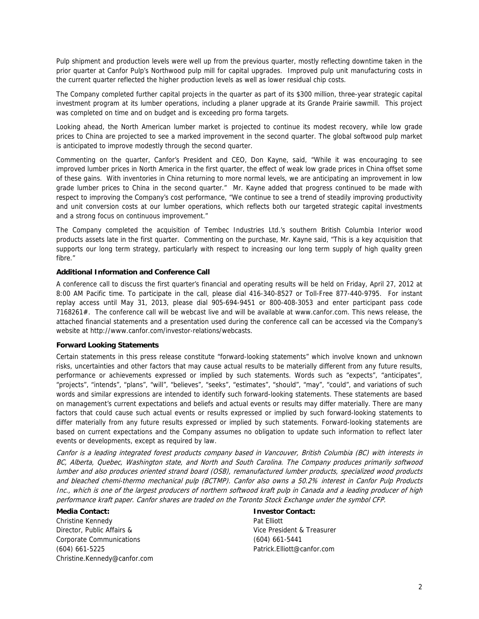Pulp shipment and production levels were well up from the previous quarter, mostly reflecting downtime taken in the prior quarter at Canfor Pulp's Northwood pulp mill for capital upgrades. Improved pulp unit manufacturing costs in the current quarter reflected the higher production levels as well as lower residual chip costs.

The Company completed further capital projects in the quarter as part of its \$300 million, three-year strategic capital investment program at its lumber operations, including a planer upgrade at its Grande Prairie sawmill. This project was completed on time and on budget and is exceeding pro forma targets.

Looking ahead, the North American lumber market is projected to continue its modest recovery, while low grade prices to China are projected to see a marked improvement in the second quarter. The global softwood pulp market is anticipated to improve modestly through the second quarter.

Commenting on the quarter, Canfor's President and CEO, Don Kayne, said, "While it was encouraging to see improved lumber prices in North America in the first quarter, the effect of weak low grade prices in China offset some of these gains. With inventories in China returning to more normal levels, we are anticipating an improvement in low grade lumber prices to China in the second quarter." Mr. Kayne added that progress continued to be made with respect to improving the Company's cost performance, "We continue to see a trend of steadily improving productivity and unit conversion costs at our lumber operations, which reflects both our targeted strategic capital investments and a strong focus on continuous improvement."

The Company completed the acquisition of Tembec Industries Ltd.'s southern British Columbia Interior wood products assets late in the first quarter. Commenting on the purchase, Mr. Kayne said, "This is a key acquisition that supports our long term strategy, particularly with respect to increasing our long term supply of high quality green fibre."

## **Additional Information and Conference Call**

A conference call to discuss the first quarter's financial and operating results will be held on Friday, April 27, 2012 at 8:00 AM Pacific time. To participate in the call, please dial 416-340-8527 or Toll-Free 877-440-9795. For instant replay access until May 31, 2013, please dial 905-694-9451 or 800-408-3053 and enter participant pass code 7168261#. The conference call will be webcast live and will be available at www.canfor.com. This news release, the attached financial statements and a presentation used during the conference call can be accessed via the Company's website at http://www.canfor.com/investor-relations/webcasts.

#### **Forward Looking Statements**

Certain statements in this press release constitute "forward-looking statements" which involve known and unknown risks, uncertainties and other factors that may cause actual results to be materially different from any future results, performance or achievements expressed or implied by such statements. Words such as "expects", "anticipates", "projects", "intends", "plans", "will", "believes", "seeks", "estimates", "should", "may", "could", and variations of such words and similar expressions are intended to identify such forward-looking statements. These statements are based on management's current expectations and beliefs and actual events or results may differ materially. There are many factors that could cause such actual events or results expressed or implied by such forward-looking statements to differ materially from any future results expressed or implied by such statements. Forward-looking statements are based on current expectations and the Company assumes no obligation to update such information to reflect later events or developments, except as required by law.

Canfor is a leading integrated forest products company based in Vancouver, British Columbia (BC) with interests in BC, Alberta, Quebec, Washington state, and North and South Carolina. The Company produces primarily softwood lumber and also produces oriented strand board (OSB), remanufactured lumber products, specialized wood products and bleached chemi-thermo mechanical pulp (BCTMP). Canfor also owns a 50.2% interest in Canfor Pulp Products Inc., which is one of the largest producers of northern softwood kraft pulp in Canada and a leading producer of high performance kraft paper. Canfor shares are traded on the Toronto Stock Exchange under the symbol CFP.

Christine Kennedy **Pat Elliott** Director, Public Affairs & Vice President & Treasurer Corporate Communications (604) 661-5441 (604) 661-5225 Patrick.Elliott@canfor.com Christine.Kennedy@canfor.com

**Media Contact: Investor Contact:**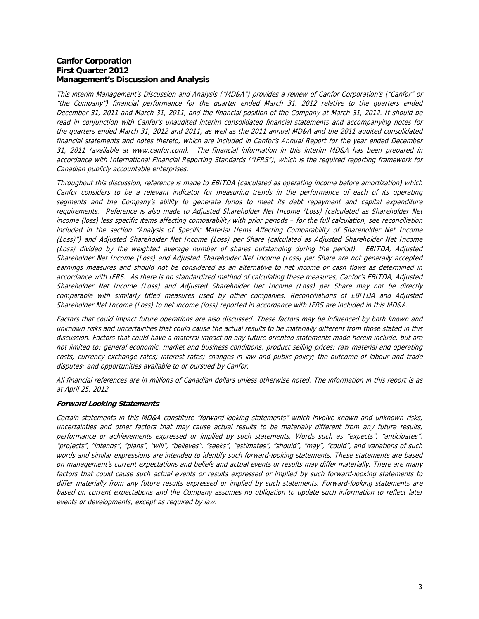# **Canfor Corporation First Quarter 2012 Management's Discussion and Analysis**

This interim Management's Discussion and Analysis ("MD&A") provides a review of Canfor Corporation's ("Canfor" or "the Company") financial performance for the quarter ended March 31, 2012 relative to the quarters ended December 31, 2011 and March 31, 2011, and the financial position of the Company at March 31, 2012. It should be read in conjunction with Canfor's unaudited interim consolidated financial statements and accompanying notes for the quarters ended March 31, 2012 and 2011, as well as the 2011 annual MD&A and the 2011 audited consolidated financial statements and notes thereto, which are included in Canfor's Annual Report for the year ended December 31, 2011 (available at www.canfor.com). The financial information in this interim MD&A has been prepared in accordance with International Financial Reporting Standards ("IFRS"), which is the required reporting framework for Canadian publicly accountable enterprises.

Throughout this discussion, reference is made to EBITDA (calculated as operating income before amortization) which Canfor considers to be a relevant indicator for measuring trends in the performance of each of its operating segments and the Company's ability to generate funds to meet its debt repayment and capital expenditure requirements. Reference is also made to Adjusted Shareholder Net Income (Loss) (calculated as Shareholder Net income (loss) less specific items affecting comparability with prior periods – for the full calculation, see reconciliation included in the section "Analysis of Specific Material Items Affecting Comparability of Shareholder Net Income (Loss)") and Adjusted Shareholder Net Income (Loss) per Share (calculated as Adjusted Shareholder Net Income (Loss) divided by the weighted average number of shares outstanding during the period). EBITDA, Adjusted Shareholder Net Income (Loss) and Adjusted Shareholder Net Income (Loss) per Share are not generally accepted earnings measures and should not be considered as an alternative to net income or cash flows as determined in accordance with IFRS. As there is no standardized method of calculating these measures, Canfor's EBITDA, Adjusted Shareholder Net Income (Loss) and Adjusted Shareholder Net Income (Loss) per Share may not be directly comparable with similarly titled measures used by other companies. Reconciliations of EBITDA and Adjusted Shareholder Net Income (Loss) to net income (loss) reported in accordance with IFRS are included in this MD&A.

Factors that could impact future operations are also discussed. These factors may be influenced by both known and unknown risks and uncertainties that could cause the actual results to be materially different from those stated in this discussion. Factors that could have a material impact on any future oriented statements made herein include, but are not limited to: general economic, market and business conditions; product selling prices; raw material and operating costs; currency exchange rates; interest rates; changes in law and public policy; the outcome of labour and trade disputes; and opportunities available to or pursued by Canfor.

All financial references are in millions of Canadian dollars unless otherwise noted. The information in this report is as at April 25, 2012.

# **Forward Looking Statements**

Certain statements in this MD&A constitute "forward-looking statements" which involve known and unknown risks, uncertainties and other factors that may cause actual results to be materially different from any future results, performance or achievements expressed or implied by such statements. Words such as "expects", "anticipates", "projects", "intends", "plans", "will", "believes", "seeks", "estimates", "should", "may", "could", and variations of such words and similar expressions are intended to identify such forward-looking statements. These statements are based on management's current expectations and beliefs and actual events or results may differ materially. There are many factors that could cause such actual events or results expressed or implied by such forward-looking statements to differ materially from any future results expressed or implied by such statements. Forward-looking statements are based on current expectations and the Company assumes no obligation to update such information to reflect later events or developments, except as required by law.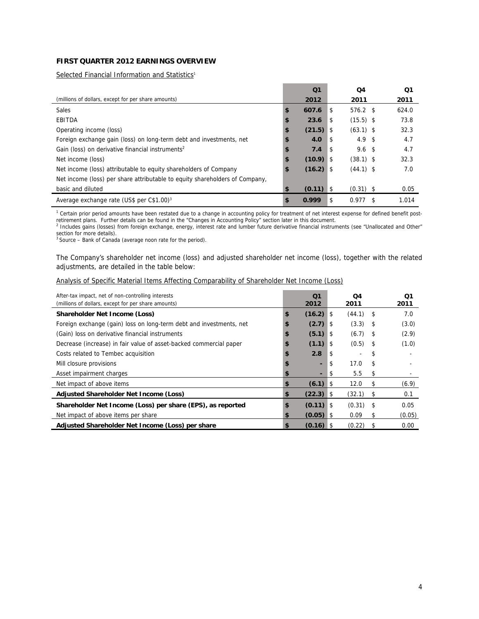# **FIRST QUARTER 2012 EARNINGS OVERVIEW**

Selected Financial Information and Statistics<sup>1</sup>

|                                                                             | Q <sub>1</sub>    |     | Q4                | Q1    |
|-----------------------------------------------------------------------------|-------------------|-----|-------------------|-------|
| (millions of dollars, except for per share amounts)                         | 2012              |     | 2011              | 2011  |
| Sales                                                                       | \$<br>607.6       | -S  | $576.2$ \$        | 624.0 |
| EBITDA                                                                      | \$<br>23.6        | S.  | $(15.5)$ \$       | 73.8  |
| Operating income (loss)                                                     | \$<br>$(21.5)$ \$ |     | $(63.1)$ \$       | 32.3  |
| Foreign exchange gain (loss) on long-term debt and investments, net         | \$<br>4.0         | ∣\$ | 4.9 \$            | 4.7   |
| Gain (loss) on derivative financial instruments <sup>2</sup>                | \$<br>7.4         | \$  | $9.6 \text{ }$ \$ | 4.7   |
| Net income (loss)                                                           | \$<br>$(10.9)$ \$ |     | $(38.1)$ \$       | 32.3  |
| Net income (loss) attributable to equity shareholders of Company            | \$<br>$(16.2)$ \$ |     | $(44.1)$ \$       | 7.0   |
| Net income (loss) per share attributable to equity shareholders of Company, |                   |     |                   |       |
| basic and diluted                                                           | \$<br>$(0.11)$ \$ |     | $(0.31)$ \$       | 0.05  |
| Average exchange rate (US\$ per C\$1.00) <sup>3</sup>                       | \$<br>0.999       | S   | 0.977             | 1.014 |

<sup>1</sup> Certain prior period amounts have been restated due to a change in accounting policy for treatment of net interest expense for defined benefit postretirement plans. Further details can be found in the "Changes in Accounting Policy" section later in this document.<br><sup>2</sup> Includes gains (losses) from foreign exchange, energy, interest rate and lumber future derivative fin

section for more details).

<sup>3</sup> Source – Bank of Canada (average noon rate for the period).

The Company's shareholder net income (loss) and adjusted shareholder net income (loss), together with the related adjustments, are detailed in the table below:

Analysis of Specific Material Items Affecting Comparability of Shareholder Net Income (Loss)

| After-tax impact, net of non-controlling interests<br>(millions of dollars, except for per share amounts) |    | Q <sub>1</sub><br>2012 |    | Q4<br>2011 |      | Q1<br>2011 |
|-----------------------------------------------------------------------------------------------------------|----|------------------------|----|------------|------|------------|
| <b>Shareholder Net Income (Loss)</b>                                                                      | \$ | $(16.2)$ \$            |    | (44.1)     | S.   | 7.0        |
| Foreign exchange (gain) loss on long-term debt and investments, net                                       |    | $(2.7)$ \$             |    | (3.3)      | -S   | (3.0)      |
| (Gain) loss on derivative financial instruments                                                           | S  | $(5.1)$ \$             |    | (6.7)      | - \$ | (2.9)      |
| Decrease (increase) in fair value of asset-backed commercial paper                                        | \$ | (1.1)                  | \$ | (0.5)      | S    | (1.0)      |
| Costs related to Tembec acquisition                                                                       |    | 2.8                    | \$ |            | \$   |            |
| Mill closure provisions                                                                                   |    | -                      | \$ | 17.0       | S    |            |
| Asset impairment charges                                                                                  |    |                        | -S | 5.5        | \$   |            |
| Net impact of above items                                                                                 | S  | $(6.1)$ \$             |    | 12.0       | S    | (6.9)      |
| Adjusted Shareholder Net Income (Loss)                                                                    | \$ | $(22.3)$ \$            |    | (32.1)     | \$   | 0.1        |
| Shareholder Net Income (Loss) per share (EPS), as reported                                                | \$ | $(0.11)$ \$            |    | (0.31)     | s.   | 0.05       |
| Net impact of above items per share                                                                       |    | $(0.05)$ \$            |    | 0.09       | \$   | (0.05)     |
| Adjusted Shareholder Net Income (Loss) per share                                                          | S  | $(0.16)$ \$            |    | (0.22)     | S    | 0.00       |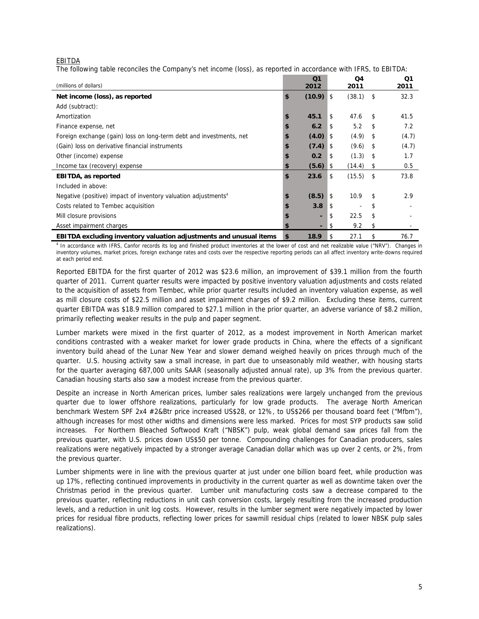#### EBITDA

The following table reconciles the Company's net income (loss), as reported in accordance with IFRS, to EBITDA:

|                                                                            | Q <sub>1</sub> |     | Q4     |     | Q <sub>1</sub> |
|----------------------------------------------------------------------------|----------------|-----|--------|-----|----------------|
| (millions of dollars)                                                      | 2012           |     | 2011   |     | 2011           |
| Net income (loss), as reported                                             | \$<br>(10.9)   | \$  | (38.1) | \$  | 32.3           |
| Add (subtract):                                                            |                |     |        |     |                |
| Amortization                                                               | \$<br>45.1     | \$  | 47.6   | \$  | 41.5           |
| Finance expense, net                                                       | \$<br>6.2      | \$  | 5.2    | \$  | 7.2            |
| Foreign exchange (gain) loss on long-term debt and investments, net        | \$<br>(4.0)    | \$  | (4.9)  | -\$ | (4.7)          |
| (Gain) loss on derivative financial instruments                            | \$<br>(7.4)    | \$  | (9.6)  | \$  | (4.7)          |
| Other (income) expense                                                     | \$<br>0.2      | \$  | (1.3)  | \$  | 1.7            |
| Income tax (recovery) expense                                              | \$<br>(5.6)    | ∥\$ | (14.4) | \$  | 0.5            |
| <b>EBITDA, as reported</b>                                                 | \$<br>23.6     | \$  | (15.5) | \$  | 73.8           |
| Included in above:                                                         |                |     |        |     |                |
| Negative (positive) impact of inventory valuation adjustments <sup>4</sup> | \$<br>(8.5)    | \$  | 10.9   | \$  | 2.9            |
| Costs related to Tembec acquisition                                        | \$<br>3.8      | \$  |        | \$  |                |
| Mill closure provisions                                                    | \$<br>-        | \$  | 22.5   | \$  |                |
| Asset impairment charges                                                   | \$             | s.  | 9.2    | \$  |                |
| <b>EBITDA</b> excluding inventory valuation adjustments and unusual items  | \$<br>18.9     | \$  | 27.1   | \$  | 76.7           |

<sup>4</sup> In accordance with IFRS, Canfor records its log and finished product inventories at the lower of cost and net realizable value ("NRV"). Changes in inventory volumes, market prices, foreign exchange rates and costs over the respective reporting periods can all affect inventory write-downs required at each period end.

Reported EBITDA for the first quarter of 2012 was \$23.6 million, an improvement of \$39.1 million from the fourth quarter of 2011. Current quarter results were impacted by positive inventory valuation adjustments and costs related to the acquisition of assets from Tembec, while prior quarter results included an inventory valuation expense, as well as mill closure costs of \$22.5 million and asset impairment charges of \$9.2 million. Excluding these items, current quarter EBITDA was \$18.9 million compared to \$27.1 million in the prior quarter, an adverse variance of \$8.2 million, primarily reflecting weaker results in the pulp and paper segment.

Lumber markets were mixed in the first quarter of 2012, as a modest improvement in North American market conditions contrasted with a weaker market for lower grade products in China, where the effects of a significant inventory build ahead of the Lunar New Year and slower demand weighed heavily on prices through much of the quarter. U.S. housing activity saw a small increase, in part due to unseasonably mild weather, with housing starts for the quarter averaging 687,000 units SAAR (seasonally adjusted annual rate), up 3% from the previous quarter. Canadian housing starts also saw a modest increase from the previous quarter.

Despite an increase in North American prices, lumber sales realizations were largely unchanged from the previous quarter due to lower offshore realizations, particularly for low grade products. The average North American benchmark Western SPF 2x4 #2&Btr price increased US\$28, or 12%, to US\$266 per thousand board feet ("Mfbm"), although increases for most other widths and dimensions were less marked. Prices for most SYP products saw solid increases. For Northern Bleached Softwood Kraft ("NBSK") pulp, weak global demand saw prices fall from the previous quarter, with U.S. prices down US\$50 per tonne. Compounding challenges for Canadian producers, sales realizations were negatively impacted by a stronger average Canadian dollar which was up over 2 cents, or 2%, from the previous quarter.

Lumber shipments were in line with the previous quarter at just under one billion board feet, while production was up 17%, reflecting continued improvements in productivity in the current quarter as well as downtime taken over the Christmas period in the previous quarter. Lumber unit manufacturing costs saw a decrease compared to the previous quarter, reflecting reductions in unit cash conversion costs, largely resulting from the increased production levels, and a reduction in unit log costs. However, results in the lumber segment were negatively impacted by lower prices for residual fibre products, reflecting lower prices for sawmill residual chips (related to lower NBSK pulp sales realizations).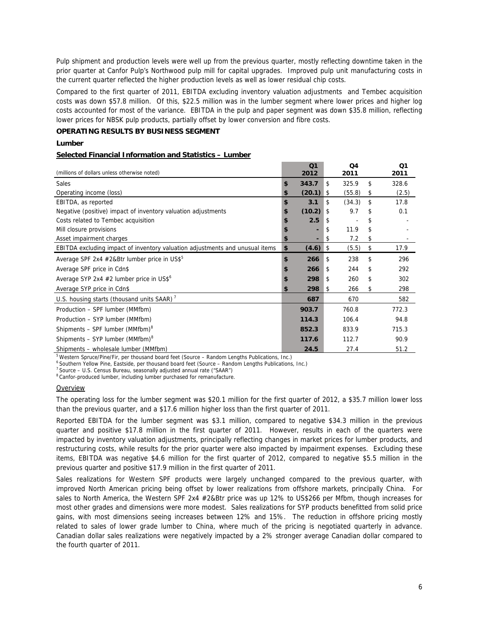Pulp shipment and production levels were well up from the previous quarter, mostly reflecting downtime taken in the prior quarter at Canfor Pulp's Northwood pulp mill for capital upgrades. Improved pulp unit manufacturing costs in the current quarter reflected the higher production levels as well as lower residual chip costs.

Compared to the first quarter of 2011, EBITDA excluding inventory valuation adjustments and Tembec acquisition costs was down \$57.8 million. Of this, \$22.5 million was in the lumber segment where lower prices and higher log costs accounted for most of the variance. EBITDA in the pulp and paper segment was down \$35.8 million, reflecting lower prices for NBSK pulp products, partially offset by lower conversion and fibre costs.

# **OPERATING RESULTS BY BUSINESS SEGMENT**

#### **Lumber**

## **Selected Financial Information and Statistics – Lumber**

| (millions of dollars unless otherwise noted)                                 |    | Q <sub>1</sub><br>2012 |                | Q4<br>2011 | Q1<br>2011  |
|------------------------------------------------------------------------------|----|------------------------|----------------|------------|-------------|
| Sales                                                                        | \$ | 343.7                  | \$             | 325.9      | \$<br>328.6 |
| Operating income (loss)                                                      | \$ | (20.1)                 | ∥\$            | (55.8)     | \$<br>(2.5) |
| EBITDA, as reported                                                          | \$ | 3.1                    | $\mathfrak{S}$ | (34.3)     | \$<br>17.8  |
| Negative (positive) impact of inventory valuation adjustments                | \$ | (10.2)                 | \$             | 9.7        | \$<br>0.1   |
| Costs related to Tembec acquisition                                          | \$ | 2.5                    | \$.            |            | \$          |
| Mill closure provisions                                                      |    |                        | \$             | 11.9       | \$          |
| Asset impairment charges                                                     | \$ | н                      | \$             | 7.2        | \$          |
| EBITDA excluding impact of inventory valuation adjustments and unusual items | \$ | $(4.6)$ \$             |                | (5.5)      | \$<br>17.9  |
| Average SPF 2x4 #2&Btr lumber price in US\$                                  | \$ | 266                    | \$             | 238        | \$<br>296   |
| Average SPF price in Cdn\$                                                   | S  | 266                    | \$             | 244        | \$<br>292   |
| Average SYP 2x4 #2 lumber price in US\$ <sup>6</sup>                         | \$ | 298                    | \$             | 260        | \$<br>302   |
| Average SYP price in Cdn\$                                                   | \$ | 298                    | \$             | 266        | \$<br>298   |
| U.S. housing starts (thousand units SAAR) $7$                                |    | 687                    |                | 670        | 582         |
| Production – SPF lumber (MMfbm)                                              |    | 903.7                  |                | 760.8      | 772.3       |
| Production – SYP lumber (MMfbm)                                              |    | 114.3                  |                | 106.4      | 94.8        |
| Shipments - SPF lumber (MMfbm) <sup>8</sup>                                  |    | 852.3                  |                | 833.9      | 715.3       |
| Shipments – SYP lumber (MMfbm) $8$                                           |    | 117.6                  |                | 112.7      | 90.9        |
| Shipments - wholesale lumber (MMfbm)                                         |    | 24.5                   |                | 27.4       | 51.2        |

<sup>5</sup> Western Spruce/Pine/Fir, per thousand board feet (Source – Random Lengths Publications, Inc.)<br><sup>6</sup> Southern Yellow Pine, Eastside, per thousand board feet (Source – Random Lengths Publications, Inc.)<br><sup>7</sup> Source – U.S.

<sup>8</sup> Canfor-produced lumber, including lumber purchased for remanufacture.

#### Overview

The operating loss for the lumber segment was \$20.1 million for the first quarter of 2012, a \$35.7 million lower loss than the previous quarter, and a \$17.6 million higher loss than the first quarter of 2011.

Reported EBITDA for the lumber segment was \$3.1 million, compared to negative \$34.3 million in the previous quarter and positive \$17.8 million in the first quarter of 2011. However, results in each of the quarters were impacted by inventory valuation adjustments, principally reflecting changes in market prices for lumber products, and restructuring costs, while results for the prior quarter were also impacted by impairment expenses. Excluding these items, EBITDA was negative \$4.6 million for the first quarter of 2012, compared to negative \$5.5 million in the previous quarter and positive \$17.9 million in the first quarter of 2011.

Sales realizations for Western SPF products were largely unchanged compared to the previous quarter, with improved North American pricing being offset by lower realizations from offshore markets, principally China. For sales to North America, the Western SPF 2x4 #2&Btr price was up 12% to US\$266 per Mfbm, though increases for most other grades and dimensions were more modest. Sales realizations for SYP products benefitted from solid price gains, with most dimensions seeing increases between 12% and 15%. The reduction in offshore pricing mostly related to sales of lower grade lumber to China, where much of the pricing is negotiated quarterly in advance. Canadian dollar sales realizations were negatively impacted by a 2% stronger average Canadian dollar compared to the fourth quarter of 2011.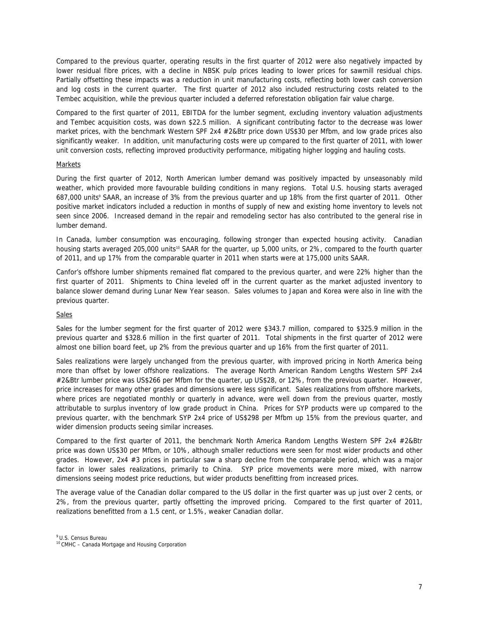Compared to the previous quarter, operating results in the first quarter of 2012 were also negatively impacted by lower residual fibre prices, with a decline in NBSK pulp prices leading to lower prices for sawmill residual chips. Partially offsetting these impacts was a reduction in unit manufacturing costs, reflecting both lower cash conversion and log costs in the current quarter. The first quarter of 2012 also included restructuring costs related to the Tembec acquisition, while the previous quarter included a deferred reforestation obligation fair value charge.

Compared to the first quarter of 2011, EBITDA for the lumber segment, excluding inventory valuation adjustments and Tembec acquisition costs, was down \$22.5 million. A significant contributing factor to the decrease was lower market prices, with the benchmark Western SPF 2x4 #2&Btr price down US\$30 per Mfbm, and low grade prices also significantly weaker. In addition, unit manufacturing costs were up compared to the first quarter of 2011, with lower unit conversion costs, reflecting improved productivity performance, mitigating higher logging and hauling costs.

#### **Markets**

During the first quarter of 2012, North American lumber demand was positively impacted by unseasonably mild weather, which provided more favourable building conditions in many regions. Total U.S. housing starts averaged 687,000 units<sup>9</sup> SAAR, an increase of 3% from the previous quarter and up 18% from the first quarter of 2011. Other positive market indicators included a reduction in months of supply of new and existing home inventory to levels not seen since 2006. Increased demand in the repair and remodeling sector has also contributed to the general rise in lumber demand.

In Canada, lumber consumption was encouraging, following stronger than expected housing activity. Canadian housing starts averaged 205,000 units<sup>10</sup> SAAR for the quarter, up 5,000 units, or 2%, compared to the fourth quarter of 2011, and up 17% from the comparable quarter in 2011 when starts were at 175,000 units SAAR.

Canfor's offshore lumber shipments remained flat compared to the previous quarter, and were 22% higher than the first quarter of 2011. Shipments to China leveled off in the current quarter as the market adjusted inventory to balance slower demand during Lunar New Year season. Sales volumes to Japan and Korea were also in line with the previous quarter.

#### **Sales**

Sales for the lumber segment for the first quarter of 2012 were \$343.7 million, compared to \$325.9 million in the previous quarter and \$328.6 million in the first quarter of 2011. Total shipments in the first quarter of 2012 were almost one billion board feet, up 2% from the previous quarter and up 16% from the first quarter of 2011.

Sales realizations were largely unchanged from the previous quarter, with improved pricing in North America being more than offset by lower offshore realizations. The average North American Random Lengths Western SPF 2x4 #2&Btr lumber price was US\$266 per Mfbm for the quarter, up US\$28, or 12%, from the previous quarter. However, price increases for many other grades and dimensions were less significant. Sales realizations from offshore markets, where prices are negotiated monthly or quarterly in advance, were well down from the previous quarter, mostly attributable to surplus inventory of low grade product in China. Prices for SYP products were up compared to the previous quarter, with the benchmark SYP 2x4 price of US\$298 per Mfbm up 15% from the previous quarter, and wider dimension products seeing similar increases.

Compared to the first quarter of 2011, the benchmark North America Random Lengths Western SPF 2x4 #2&Btr price was down US\$30 per Mfbm, or 10%, although smaller reductions were seen for most wider products and other grades. However, 2x4 #3 prices in particular saw a sharp decline from the comparable period, which was a major factor in lower sales realizations, primarily to China. SYP price movements were more mixed, with narrow dimensions seeing modest price reductions, but wider products benefitting from increased prices.

The average value of the Canadian dollar compared to the US dollar in the first quarter was up just over 2 cents, or 2%, from the previous quarter, partly offsetting the improved pricing. Compared to the first quarter of 2011, realizations benefitted from a 1.5 cent, or 1.5%, weaker Canadian dollar.

9 U.S. Census Bureau

<sup>10</sup> CMHC – Canada Mortgage and Housing Corporation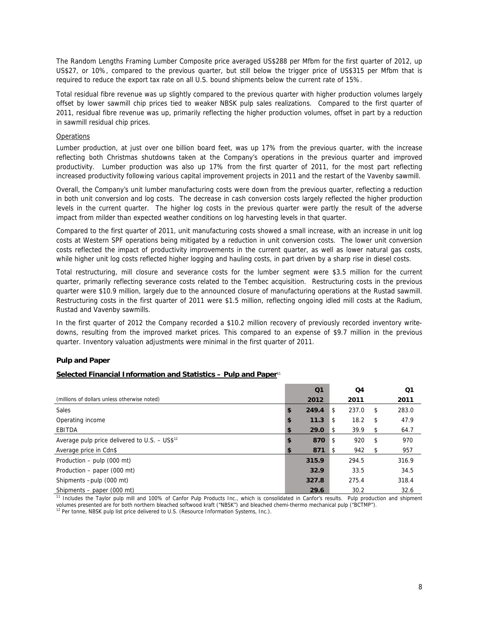The Random Lengths Framing Lumber Composite price averaged US\$288 per Mfbm for the first quarter of 2012, up US\$27, or 10%, compared to the previous quarter, but still below the trigger price of US\$315 per Mfbm that is required to reduce the export tax rate on all U.S. bound shipments below the current rate of 15%.

Total residual fibre revenue was up slightly compared to the previous quarter with higher production volumes largely offset by lower sawmill chip prices tied to weaker NBSK pulp sales realizations. Compared to the first quarter of 2011, residual fibre revenue was up, primarily reflecting the higher production volumes, offset in part by a reduction in sawmill residual chip prices.

## **Operations**

Lumber production, at just over one billion board feet, was up 17% from the previous quarter, with the increase reflecting both Christmas shutdowns taken at the Company's operations in the previous quarter and improved productivity. Lumber production was also up 17% from the first quarter of 2011, for the most part reflecting increased productivity following various capital improvement projects in 2011 and the restart of the Vavenby sawmill.

Overall, the Company's unit lumber manufacturing costs were down from the previous quarter, reflecting a reduction in both unit conversion and log costs. The decrease in cash conversion costs largely reflected the higher production levels in the current quarter. The higher log costs in the previous quarter were partly the result of the adverse impact from milder than expected weather conditions on log harvesting levels in that quarter.

Compared to the first quarter of 2011, unit manufacturing costs showed a small increase, with an increase in unit log costs at Western SPF operations being mitigated by a reduction in unit conversion costs. The lower unit conversion costs reflected the impact of productivity improvements in the current quarter, as well as lower natural gas costs, while higher unit log costs reflected higher logging and hauling costs, in part driven by a sharp rise in diesel costs.

Total restructuring, mill closure and severance costs for the lumber segment were \$3.5 million for the current quarter, primarily reflecting severance costs related to the Tembec acquisition. Restructuring costs in the previous quarter were \$10.9 million, largely due to the announced closure of manufacturing operations at the Rustad sawmill. Restructuring costs in the first quarter of 2011 were \$1.5 million, reflecting ongoing idled mill costs at the Radium, Rustad and Vavenby sawmills.

In the first quarter of 2012 the Company recorded a \$10.2 million recovery of previously recorded inventory writedowns, resulting from the improved market prices. This compared to an expense of \$9.7 million in the previous quarter. Inventory valuation adjustments were minimal in the first quarter of 2011.

## **Pulp and Paper**

#### **Selected Financial Information and Statistics – Pulp and Paper**<sup>11</sup>

|                                                             | Q <sub>1</sub> | Q4          |    | Q1    |
|-------------------------------------------------------------|----------------|-------------|----|-------|
| (millions of dollars unless otherwise noted)                | 2012           | 2011        |    | 2011  |
| Sales                                                       | 249.4<br>\$    | 237.0<br>\$ | S  | 283.0 |
| Operating income                                            | 11.3<br>\$     | 18.2<br>\$  | \$ | 47.9  |
| EBITDA                                                      | 29.0<br>\$     | 39.9<br>S   | S  | 64.7  |
| Average pulp price delivered to U.S. $-$ US\$ <sup>12</sup> | 870<br>\$      | 920<br>S    | \$ | 970   |
| Average price in Cdn\$                                      | 871            | 942         | \$ | 957   |
| Production – pulp $(000 \text{ mt})$                        | 315.9          | 294.5       |    | 316.9 |
| Production – paper (000 mt)                                 | 32.9           | 33.5        |    | 34.5  |
| Shipments -pulp (000 mt)                                    | 327.8          | 275.4       |    | 318.4 |
| Shipments – paper (000 mt)                                  | 29.6           | 30.2        |    | 32.6  |

<sup>11</sup> Includes the Taylor pulp mill and 100% of Canfor Pulp Products Inc., which is consolidated in Canfor's results. Pulp production and shipment volumes presented are for both northern bleached softwood kraft ("NBSK") and bleached chemi-thermo mechanical pulp ("BCTMP").<br><sup>12</sup> Per tonne, NBSK pulp list price delivered to U.S. (Resource Information Systems, Inc.).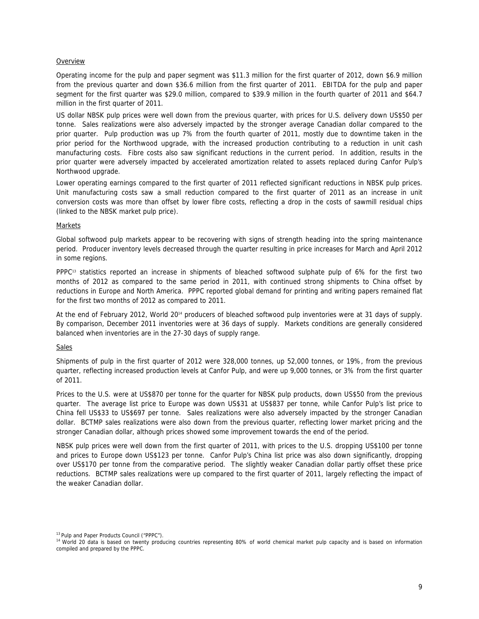#### **Overview**

Operating income for the pulp and paper segment was \$11.3 million for the first quarter of 2012, down \$6.9 million from the previous quarter and down \$36.6 million from the first quarter of 2011. EBITDA for the pulp and paper segment for the first quarter was \$29.0 million, compared to \$39.9 million in the fourth quarter of 2011 and \$64.7 million in the first quarter of 2011.

US dollar NBSK pulp prices were well down from the previous quarter, with prices for U.S. delivery down US\$50 per tonne. Sales realizations were also adversely impacted by the stronger average Canadian dollar compared to the prior quarter. Pulp production was up 7% from the fourth quarter of 2011, mostly due to downtime taken in the prior period for the Northwood upgrade, with the increased production contributing to a reduction in unit cash manufacturing costs. Fibre costs also saw significant reductions in the current period. In addition, results in the prior quarter were adversely impacted by accelerated amortization related to assets replaced during Canfor Pulp's Northwood upgrade.

Lower operating earnings compared to the first quarter of 2011 reflected significant reductions in NBSK pulp prices. Unit manufacturing costs saw a small reduction compared to the first quarter of 2011 as an increase in unit conversion costs was more than offset by lower fibre costs, reflecting a drop in the costs of sawmill residual chips (linked to the NBSK market pulp price).

#### Markets

Global softwood pulp markets appear to be recovering with signs of strength heading into the spring maintenance period. Producer inventory levels decreased through the quarter resulting in price increases for March and April 2012 in some regions.

PPPC13 statistics reported an increase in shipments of bleached softwood sulphate pulp of 6% for the first two months of 2012 as compared to the same period in 2011, with continued strong shipments to China offset by reductions in Europe and North America. PPPC reported global demand for printing and writing papers remained flat for the first two months of 2012 as compared to 2011.

At the end of February 2012, World 2014 producers of bleached softwood pulp inventories were at 31 days of supply. By comparison, December 2011 inventories were at 36 days of supply. Markets conditions are generally considered balanced when inventories are in the 27-30 days of supply range.

#### **Sales**

Shipments of pulp in the first quarter of 2012 were 328,000 tonnes, up 52,000 tonnes, or 19%, from the previous quarter, reflecting increased production levels at Canfor Pulp, and were up 9,000 tonnes, or 3% from the first quarter of 2011.

Prices to the U.S. were at US\$870 per tonne for the quarter for NBSK pulp products, down US\$50 from the previous quarter. The average list price to Europe was down US\$31 at US\$837 per tonne, while Canfor Pulp's list price to China fell US\$33 to US\$697 per tonne. Sales realizations were also adversely impacted by the stronger Canadian dollar. BCTMP sales realizations were also down from the previous quarter, reflecting lower market pricing and the stronger Canadian dollar, although prices showed some improvement towards the end of the period.

NBSK pulp prices were well down from the first quarter of 2011, with prices to the U.S. dropping US\$100 per tonne and prices to Europe down US\$123 per tonne. Canfor Pulp's China list price was also down significantly, dropping over US\$170 per tonne from the comparative period. The slightly weaker Canadian dollar partly offset these price reductions. BCTMP sales realizations were up compared to the first quarter of 2011, largely reflecting the impact of the weaker Canadian dollar.

<sup>&</sup>lt;sup>13</sup> Pulp and Paper Products Council ("PPPC").<br><sup>14</sup> World 20 data is based on twenty producing countries representing 80% of world chemical market pulp capacity and is based on information compiled and prepared by the PPPC.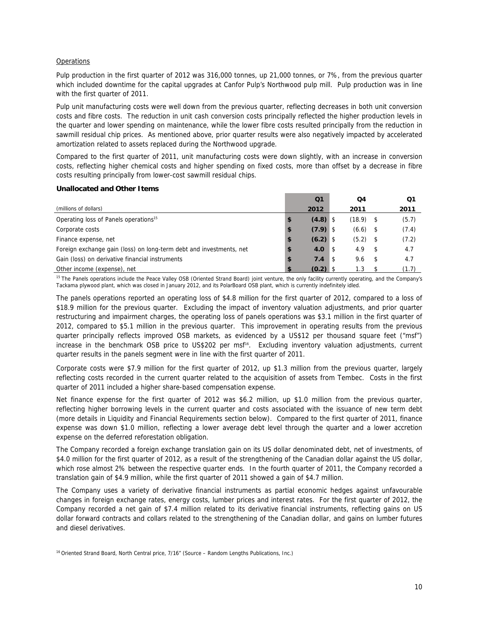#### **Operations**

Pulp production in the first quarter of 2012 was 316,000 tonnes, up 21,000 tonnes, or 7%, from the previous quarter which included downtime for the capital upgrades at Canfor Pulp's Northwood pulp mill. Pulp production was in line with the first quarter of 2011.

Pulp unit manufacturing costs were well down from the previous quarter, reflecting decreases in both unit conversion costs and fibre costs. The reduction in unit cash conversion costs principally reflected the higher production levels in the quarter and lower spending on maintenance, while the lower fibre costs resulted principally from the reduction in sawmill residual chip prices. As mentioned above, prior quarter results were also negatively impacted by accelerated amortization related to assets replaced during the Northwood upgrade.

Compared to the first quarter of 2011, unit manufacturing costs were down slightly, with an increase in conversion costs, reflecting higher chemical costs and higher spending on fixed costs, more than offset by a decrease in fibre costs resulting principally from lower-cost sawmill residual chips.

## **Unallocated and Other Items**

|                                                                     |               | Q <sub>1</sub> |    | Q4     |      | Ο1    |
|---------------------------------------------------------------------|---------------|----------------|----|--------|------|-------|
| (millions of dollars)                                               |               | 2012           |    | 2011   |      | 2011  |
| Operating loss of Panels operations <sup>15</sup>                   |               | $(4.8)$ \$     |    | (18.9) | - \$ | (5.7) |
| Corporate costs                                                     | - 56          | $(7.9)$ \$     |    | (6.6)  | - \$ | (7.4) |
| Finance expense, net                                                | <sup>\$</sup> | $(6.2)$ \$     |    | (5.2)  |      | (7.2) |
| Foreign exchange gain (loss) on long-term debt and investments, net |               | 4.0            | -S | 4.9    | -S   | 4.7   |
| Gain (loss) on derivative financial instruments                     | Ъ.            | 7.4            | -S | 9.6    | -S   | 4.7   |
| Other income (expense), net                                         |               | $(0.2)$ \$     |    | 1.3    |      | (1.7) |

<sup>15</sup> The Panels operations include the Peace Valley OSB (Oriented Strand Board) joint venture, the only facility currently operating, and the Company's Tackama plywood plant, which was closed in January 2012, and its PolarBoard OSB plant, which is currently indefinitely idled.

The panels operations reported an operating loss of \$4.8 million for the first quarter of 2012, compared to a loss of \$18.9 million for the previous quarter. Excluding the impact of inventory valuation adjustments, and prior quarter restructuring and impairment charges, the operating loss of panels operations was \$3.1 million in the first quarter of 2012, compared to \$5.1 million in the previous quarter. This improvement in operating results from the previous quarter principally reflects improved OSB markets, as evidenced by a US\$12 per thousand square feet ("msf") increase in the benchmark OSB price to US\$202 per msf<sup>16</sup>. Excluding inventory valuation adjustments, current quarter results in the panels segment were in line with the first quarter of 2011.

Corporate costs were \$7.9 million for the first quarter of 2012, up \$1.3 million from the previous quarter, largely reflecting costs recorded in the current quarter related to the acquisition of assets from Tembec. Costs in the first quarter of 2011 included a higher share-based compensation expense.

Net finance expense for the first quarter of 2012 was \$6.2 million, up \$1.0 million from the previous quarter, reflecting higher borrowing levels in the current quarter and costs associated with the issuance of new term debt (more details in Liquidity and Financial Requirements section below). Compared to the first quarter of 2011, finance expense was down \$1.0 million, reflecting a lower average debt level through the quarter and a lower accretion expense on the deferred reforestation obligation.

The Company recorded a foreign exchange translation gain on its US dollar denominated debt, net of investments, of \$4.0 million for the first quarter of 2012, as a result of the strengthening of the Canadian dollar against the US dollar, which rose almost 2% between the respective quarter ends. In the fourth quarter of 2011, the Company recorded a translation gain of \$4.9 million, while the first quarter of 2011 showed a gain of \$4.7 million.

The Company uses a variety of derivative financial instruments as partial economic hedges against unfavourable changes in foreign exchange rates, energy costs, lumber prices and interest rates. For the first quarter of 2012, the Company recorded a net gain of \$7.4 million related to its derivative financial instruments, reflecting gains on US dollar forward contracts and collars related to the strengthening of the Canadian dollar, and gains on lumber futures and diesel derivatives.

<sup>&</sup>lt;sup>16</sup> Oriented Strand Board, North Central price, 7/16" (Source – Random Lengths Publications, Inc.)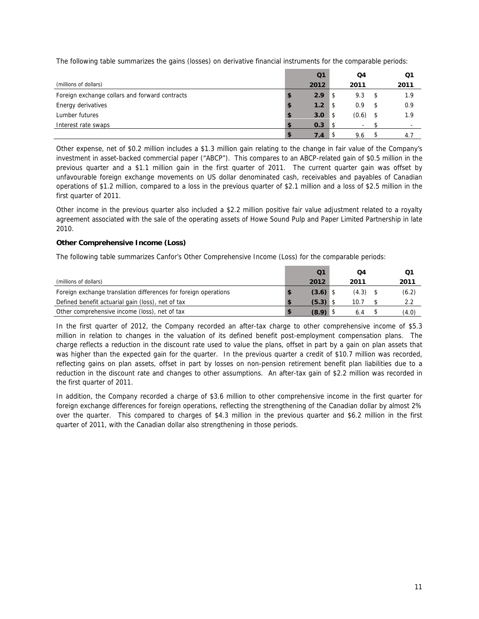The following table summarizes the gains (losses) on derivative financial instruments for the comparable periods:

|                                                |               | Q <sub>1</sub> |   | Q4    |      | Q1   |
|------------------------------------------------|---------------|----------------|---|-------|------|------|
| (millions of dollars)                          |               | 2012           |   | 2011  |      | 2011 |
| Foreign exchange collars and forward contracts | <sup>\$</sup> | 2.9            | S | 9.3   |      | 1.9  |
| Energy derivatives                             | <b>S</b>      | 1.2            | S | 0.9   | -S   | 0.9  |
| Lumber futures                                 | <b>S</b>      | 3.0            | S | (0.6) | - \$ | 1.9  |
| Interest rate swaps                            |               | 0.3            |   | -     |      |      |
|                                                | \$            | 7.4            |   | 9.6   |      | 4.7  |

Other expense, net of \$0.2 million includes a \$1.3 million gain relating to the change in fair value of the Company's investment in asset-backed commercial paper ("ABCP"). This compares to an ABCP-related gain of \$0.5 million in the previous quarter and a \$1.1 million gain in the first quarter of 2011. The current quarter gain was offset by unfavourable foreign exchange movements on US dollar denominated cash, receivables and payables of Canadian operations of \$1.2 million, compared to a loss in the previous quarter of \$2.1 million and a loss of \$2.5 million in the first quarter of 2011.

Other income in the previous quarter also included a \$2.2 million positive fair value adjustment related to a royalty agreement associated with the sale of the operating assets of Howe Sound Pulp and Paper Limited Partnership in late 2010.

# **Other Comprehensive Income (Loss)**

The following table summarizes Canfor's Other Comprehensive Income (Loss) for the comparable periods:

|                                                                 | Q1         | Q4    | Ο1    |
|-----------------------------------------------------------------|------------|-------|-------|
| (millions of dollars)                                           | 2012       | 2011  | 2011  |
| Foreign exchange translation differences for foreign operations | $(3.6)$ \$ | (4.3) | (6.2) |
| Defined benefit actuarial gain (loss), net of tax               | $(5.3)$ \$ | 10.7  | 2.2   |
| Other comprehensive income (loss), net of tax                   | $(8.9)$ \$ |       | (4.0) |

In the first quarter of 2012, the Company recorded an after-tax charge to other comprehensive income of \$5.3 million in relation to changes in the valuation of its defined benefit post-employment compensation plans. The charge reflects a reduction in the discount rate used to value the plans, offset in part by a gain on plan assets that was higher than the expected gain for the quarter. In the previous quarter a credit of \$10.7 million was recorded, reflecting gains on plan assets, offset in part by losses on non-pension retirement benefit plan liabilities due to a reduction in the discount rate and changes to other assumptions. An after-tax gain of \$2.2 million was recorded in the first quarter of 2011.

In addition, the Company recorded a charge of \$3.6 million to other comprehensive income in the first quarter for foreign exchange differences for foreign operations, reflecting the strengthening of the Canadian dollar by almost 2% over the quarter. This compared to charges of \$4.3 million in the previous quarter and \$6.2 million in the first quarter of 2011, with the Canadian dollar also strengthening in those periods.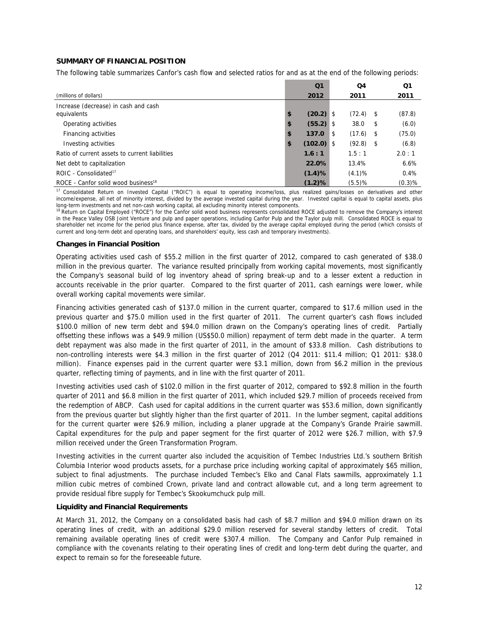# **SUMMARY OF FINANCIAL POSITION**

The following table summarizes Canfor's cash flow and selected ratios for and as at the end of the following periods:

|                                                     | Q <sub>1</sub>     | Q4     |    | Q <sub>1</sub> |
|-----------------------------------------------------|--------------------|--------|----|----------------|
| (millions of dollars)                               | 2012               | 2011   |    | 2011           |
| Increase (decrease) in cash and cash<br>equivalents | \$<br>$(20.2)$ \$  | (72.4) | S  | (87.8)         |
| Operating activities                                | \$<br>$(55.2)$ \$  | 38.0   | S  | (6.0)          |
| Financing activities                                | \$<br>137.0        | (17.6) | s. | (75.0)         |
| Investing activities                                | \$<br>$(102.0)$ \$ | (92.8) | -S | (6.8)          |
| Ratio of current assets to current liabilities      | 1.6:1              | 1.5:1  |    | 2.0:1          |
| Net debt to capitalization                          | 22.0%              | 13.4%  |    | 6.6%           |
| ROIC - Consolidated <sup>17</sup>                   | $(1.4)$ %          | (4.1)% |    | 0.4%           |
| ROCE - Canfor solid wood business <sup>18</sup>     | (1.2)%             | (5.5)% |    | (0.3)%         |

<sup>17</sup> Consolidated Return on Invested Capital ("ROIC") is equal to operating income/loss, plus realized gains/losses on derivatives and other income/expense, all net of minority interest, divided by the average invested capital during the year. Invested capital is equal to capital assets, plus long-term investments and net non-cash working capital, all excluding

<sup>18</sup> Return on Capital Employed ("ROCE") for the Canfor solid wood business represents consolidated ROCE adjusted to remove the Company's interest in the Peace Valley OSB Joint Venture and pulp and paper operations, including Canfor Pulp and the Taylor pulp mill. Consolidated ROCE is equal to shareholder net income for the period plus finance expense, after tax, divided by the average capital employed during the period (which consists of current and long-term debt and operating loans, and shareholders' equity, less cash and temporary investments).

#### **Changes in Financial Position**

Operating activities used cash of \$55.2 million in the first quarter of 2012, compared to cash generated of \$38.0 million in the previous quarter. The variance resulted principally from working capital movements, most significantly the Company's seasonal build of log inventory ahead of spring break-up and to a lesser extent a reduction in accounts receivable in the prior quarter. Compared to the first quarter of 2011, cash earnings were lower, while overall working capital movements were similar.

Financing activities generated cash of \$137.0 million in the current quarter, compared to \$17.6 million used in the previous quarter and \$75.0 million used in the first quarter of 2011. The current quarter's cash flows included \$100.0 million of new term debt and \$94.0 million drawn on the Company's operating lines of credit. Partially offsetting these inflows was a \$49.9 million (US\$50.0 million) repayment of term debt made in the quarter. A term debt repayment was also made in the first quarter of 2011, in the amount of \$33.8 million. Cash distributions to non-controlling interests were \$4.3 million in the first quarter of 2012 (Q4 2011: \$11.4 million; Q1 2011: \$38.0 million). Finance expenses paid in the current quarter were \$3.1 million, down from \$6.2 million in the previous quarter, reflecting timing of payments, and in line with the first quarter of 2011.

Investing activities used cash of \$102.0 million in the first quarter of 2012, compared to \$92.8 million in the fourth quarter of 2011 and \$6.8 million in the first quarter of 2011, which included \$29.7 million of proceeds received from the redemption of ABCP. Cash used for capital additions in the current quarter was \$53.6 million, down significantly from the previous quarter but slightly higher than the first quarter of 2011. In the lumber segment, capital additions for the current quarter were \$26.9 million, including a planer upgrade at the Company's Grande Prairie sawmill. Capital expenditures for the pulp and paper segment for the first quarter of 2012 were \$26.7 million, with \$7.9 million received under the Green Transformation Program.

Investing activities in the current quarter also included the acquisition of Tembec Industries Ltd.'s southern British Columbia Interior wood products assets, for a purchase price including working capital of approximately \$65 million, subject to final adjustments. The purchase included Tembec's Elko and Canal Flats sawmills, approximately 1.1 million cubic metres of combined Crown, private land and contract allowable cut, and a long term agreement to provide residual fibre supply for Tembec's Skookumchuck pulp mill.

#### **Liquidity and Financial Requirements**

At March 31, 2012, the Company on a consolidated basis had cash of \$8.7 million and \$94.0 million drawn on its operating lines of credit, with an additional \$29.0 million reserved for several standby letters of credit. Total remaining available operating lines of credit were \$307.4 million. The Company and Canfor Pulp remained in compliance with the covenants relating to their operating lines of credit and long-term debt during the quarter, and expect to remain so for the foreseeable future.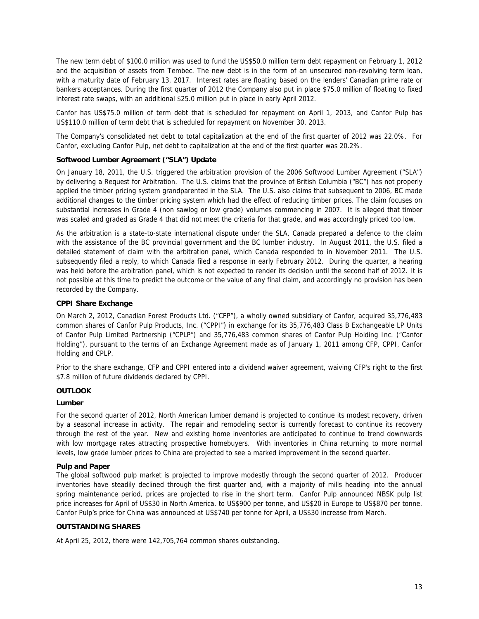The new term debt of \$100.0 million was used to fund the US\$50.0 million term debt repayment on February 1, 2012 and the acquisition of assets from Tembec. The new debt is in the form of an unsecured non-revolving term loan, with a maturity date of February 13, 2017. Interest rates are floating based on the lenders' Canadian prime rate or bankers acceptances. During the first quarter of 2012 the Company also put in place \$75.0 million of floating to fixed interest rate swaps, with an additional \$25.0 million put in place in early April 2012.

Canfor has US\$75.0 million of term debt that is scheduled for repayment on April 1, 2013, and Canfor Pulp has US\$110.0 million of term debt that is scheduled for repayment on November 30, 2013.

The Company's consolidated net debt to total capitalization at the end of the first quarter of 2012 was 22.0%. For Canfor, excluding Canfor Pulp, net debt to capitalization at the end of the first quarter was 20.2%.

## **Softwood Lumber Agreement ("SLA") Update**

On January 18, 2011, the U.S. triggered the arbitration provision of the 2006 Softwood Lumber Agreement ("SLA") by delivering a Request for Arbitration. The U.S. claims that the province of British Columbia ("BC") has not properly applied the timber pricing system grandparented in the SLA. The U.S. also claims that subsequent to 2006, BC made additional changes to the timber pricing system which had the effect of reducing timber prices. The claim focuses on substantial increases in Grade 4 (non sawlog or low grade) volumes commencing in 2007. It is alleged that timber was scaled and graded as Grade 4 that did not meet the criteria for that grade, and was accordingly priced too low.

As the arbitration is a state-to-state international dispute under the SLA, Canada prepared a defence to the claim with the assistance of the BC provincial government and the BC lumber industry. In August 2011, the U.S. filed a detailed statement of claim with the arbitration panel, which Canada responded to in November 2011. The U.S. subsequently filed a reply, to which Canada filed a response in early February 2012. During the quarter, a hearing was held before the arbitration panel, which is not expected to render its decision until the second half of 2012. It is not possible at this time to predict the outcome or the value of any final claim, and accordingly no provision has been recorded by the Company.

#### **CPPI Share Exchange**

On March 2, 2012, Canadian Forest Products Ltd. ("CFP"), a wholly owned subsidiary of Canfor, acquired 35,776,483 common shares of Canfor Pulp Products, Inc. ("CPPI") in exchange for its 35,776,483 Class B Exchangeable LP Units of Canfor Pulp Limited Partnership ("CPLP") and 35,776,483 common shares of Canfor Pulp Holding Inc. ("Canfor Holding"), pursuant to the terms of an Exchange Agreement made as of January 1, 2011 among CFP, CPPI, Canfor Holding and CPLP.

Prior to the share exchange, CFP and CPPI entered into a dividend waiver agreement, waiving CFP's right to the first \$7.8 million of future dividends declared by CPPI.

# **OUTLOOK**

#### **Lumber**

For the second quarter of 2012, North American lumber demand is projected to continue its modest recovery, driven by a seasonal increase in activity. The repair and remodeling sector is currently forecast to continue its recovery through the rest of the year. New and existing home inventories are anticipated to continue to trend downwards with low mortgage rates attracting prospective homebuyers. With inventories in China returning to more normal levels, low grade lumber prices to China are projected to see a marked improvement in the second quarter.

#### **Pulp and Paper**

The global softwood pulp market is projected to improve modestly through the second quarter of 2012. Producer inventories have steadily declined through the first quarter and, with a majority of mills heading into the annual spring maintenance period, prices are projected to rise in the short term. Canfor Pulp announced NBSK pulp list price increases for April of US\$30 in North America, to US\$900 per tonne, and US\$20 in Europe to US\$870 per tonne. Canfor Pulp's price for China was announced at US\$740 per tonne for April, a US\$30 increase from March.

#### **OUTSTANDING SHARES**

At April 25, 2012, there were 142,705,764 common shares outstanding.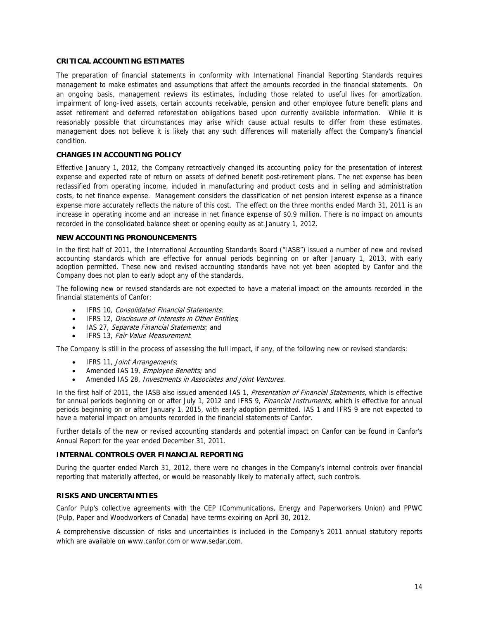#### **CRITICAL ACCOUNTING ESTIMATES**

The preparation of financial statements in conformity with International Financial Reporting Standards requires management to make estimates and assumptions that affect the amounts recorded in the financial statements. On an ongoing basis, management reviews its estimates, including those related to useful lives for amortization, impairment of long-lived assets, certain accounts receivable, pension and other employee future benefit plans and asset retirement and deferred reforestation obligations based upon currently available information. While it is reasonably possible that circumstances may arise which cause actual results to differ from these estimates, management does not believe it is likely that any such differences will materially affect the Company's financial condition.

#### **CHANGES IN ACCOUNTING POLICY**

Effective January 1, 2012, the Company retroactively changed its accounting policy for the presentation of interest expense and expected rate of return on assets of defined benefit post-retirement plans. The net expense has been reclassified from operating income, included in manufacturing and product costs and in selling and administration costs, to net finance expense. Management considers the classification of net pension interest expense as a finance expense more accurately reflects the nature of this cost. The effect on the three months ended March 31, 2011 is an increase in operating income and an increase in net finance expense of \$0.9 million. There is no impact on amounts recorded in the consolidated balance sheet or opening equity as at January 1, 2012.

#### **NEW ACCOUNTING PRONOUNCEMENTS**

In the first half of 2011, the International Accounting Standards Board ("IASB") issued a number of new and revised accounting standards which are effective for annual periods beginning on or after January 1, 2013, with early adoption permitted. These new and revised accounting standards have not yet been adopted by Canfor and the Company does not plan to early adopt any of the standards.

The following new or revised standards are not expected to have a material impact on the amounts recorded in the financial statements of Canfor:

- IFRS 10, Consolidated Financial Statements;
- IFRS 12, Disclosure of Interests in Other Entities;
- IAS 27, Separate Financial Statements; and
- IFRS 13, Fair Value Measurement.

The Company is still in the process of assessing the full impact, if any, of the following new or revised standards:

- IFRS 11, Joint Arrangements;
- Amended IAS 19, *Employee Benefits;* and
- Amended IAS 28, Investments in Associates and Joint Ventures.

In the first half of 2011, the IASB also issued amended IAS 1, Presentation of Financial Statements, which is effective for annual periods beginning on or after July 1, 2012 and IFRS 9, Financial Instruments, which is effective for annual periods beginning on or after January 1, 2015, with early adoption permitted. IAS 1 and IFRS 9 are not expected to have a material impact on amounts recorded in the financial statements of Canfor.

Further details of the new or revised accounting standards and potential impact on Canfor can be found in Canfor's Annual Report for the year ended December 31, 2011.

#### **INTERNAL CONTROLS OVER FINANCIAL REPORTING**

During the quarter ended March 31, 2012, there were no changes in the Company's internal controls over financial reporting that materially affected, or would be reasonably likely to materially affect, such controls.

#### **RISKS AND UNCERTAINTIES**

Canfor Pulp's collective agreements with the CEP (Communications, Energy and Paperworkers Union) and PPWC (Pulp, Paper and Woodworkers of Canada) have terms expiring on April 30, 2012.

A comprehensive discussion of risks and uncertainties is included in the Company's 2011 annual statutory reports which are available on www.canfor.com or www.sedar.com.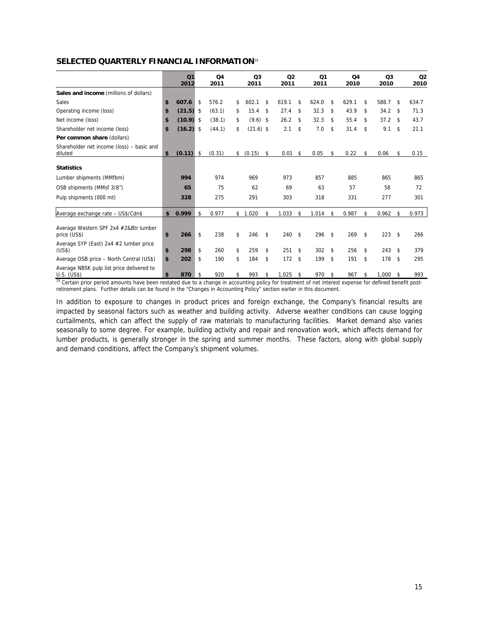# **SELECTED QUARTERLY FINANCIAL INFORMATION**<sup>19</sup>

|                                                            | Q <sub>1</sub><br>2012 |     | Q4<br>2011 | Q <sub>3</sub><br>2011 |    | Q <sub>2</sub><br>2011 |      | Q <sub>1</sub><br>2011 |      |       | Q <sub>4</sub><br>2010 | Q3<br>2010 |               | Q2<br>2010 |
|------------------------------------------------------------|------------------------|-----|------------|------------------------|----|------------------------|------|------------------------|------|-------|------------------------|------------|---------------|------------|
| Sales and income (millions of dollars)                     |                        |     |            |                        |    |                        |      |                        |      |       |                        |            |               |            |
| Sales                                                      | \$<br>607.6            | \$  | 576.2      | \$<br>602.1            | Ŝ. | 619.1                  | \$   | 624.0                  | Ŝ.   | 629.1 | \$                     | 588.7      | \$            | 634.7      |
| Operating income (loss)                                    | \$<br>(21.5)           | \$  | (63.1)     | \$<br>15.4             | \$ | 27.4                   | \$   | 32.3                   | \$   | 43.9  | \$                     | 34.2       | \$            | 71.3       |
| Net income (loss)                                          | \$<br>$(10.9)$ \$      |     | (38.1)     | \$<br>$(9.6)$ \$       |    | 26.2                   | \$   | 32.3                   | \$   | 55.4  | \$                     | 37.2       | Ŝ.            | 43.7       |
| Shareholder net income (loss)                              | \$<br>(16.2)           | \$  | (44.1)     | \$<br>$(21.6)$ \$      |    | 2.1                    | \$   | 7.0                    | \$   | 31.4  | \$                     | 9.1        | \$            | 21.1       |
| Per common share (dollars)                                 |                        |     |            |                        |    |                        |      |                        |      |       |                        |            |               |            |
| Shareholder net income (loss) – basic and<br>diluted       | \$<br>(0.11)           | -\$ | (0.31)     | \$<br>(0.15)           | \$ | 0.01                   | -\$  | 0.05                   | \$   | 0.22  | \$                     | 0.06       | \$            | 0.15       |
| <b>Statistics</b>                                          |                        |     |            |                        |    |                        |      |                        |      |       |                        |            |               |            |
| Lumber shipments (MMfbm)                                   | 994                    |     | 974        | 969                    |    | 973                    |      | 857                    |      | 885   |                        | 865        |               | 865        |
| OSB shipments (MMsf 3/8")                                  | 65                     |     | 75         | 62                     |    | 69                     |      | 63                     |      | 57    |                        | 58         |               | 72         |
| Pulp shipments (000 mt)                                    | 328                    |     | 275        | 291                    |    | 303                    |      | 318                    |      | 331   |                        | 277        |               | 301        |
| Average exchange rate - US\$/Cdn\$                         | \$<br>0.999            | \$  | 0.977      | \$1.020                | \$ | 1.033                  | \$   | 1.014                  | \$   | 0.987 | \$                     | 0.962      | \$            | 0.973      |
| Average Western SPF 2x4 #2&Btr lumber<br>price (US\$)      | \$<br>266              | \$  | 238        | \$<br>246              | \$ | 240                    | - \$ | 296                    | -\$  | 269   | \$                     | 223        | <sup>\$</sup> | 266        |
| Average SYP (East) 2x4 #2 lumber price<br>(US\$)           | \$<br>298              | \$  | 260        | \$<br>259              | \$ | 251                    | \$   | 302                    | - \$ | 256   | \$                     | 243        | Ŝ.            | 379        |
| Average OSB price - North Central (US\$)                   | \$<br>202              | \$  | 190        | \$<br>184              | \$ | 172                    | \$   | 199                    | \$   | 191   | \$                     | 178        | -\$           | 295        |
| Average NBSK pulp list price delivered to<br>$U.S.$ (US\$) | \$<br>870              | \$  | 920        | \$<br>993              | \$ | 1,025                  | \$   | 970                    | \$   | 967   | \$                     | 1,000      | \$            | 993        |

<sup>19</sup> Certain prior period amounts have been restated due to a change in accounting policy for treatment of net interest expense for defined benefit postretirement plans. Further details can be found in the "Changes in Accounting Policy" section earlier in this document.

In addition to exposure to changes in product prices and foreign exchange, the Company's financial results are impacted by seasonal factors such as weather and building activity. Adverse weather conditions can cause logging curtailments, which can affect the supply of raw materials to manufacturing facilities. Market demand also varies seasonally to some degree. For example, building activity and repair and renovation work, which affects demand for lumber products, is generally stronger in the spring and summer months. These factors, along with global supply and demand conditions, affect the Company's shipment volumes.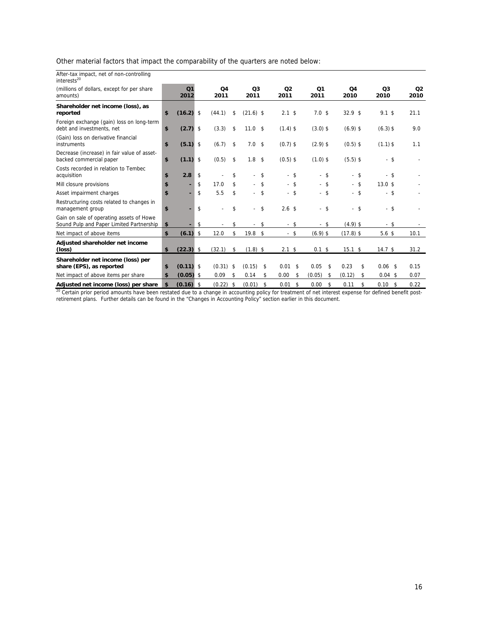Other material factors that impact the comparability of the quarters are noted below:

| After-tax impact, net of non-controlling<br>interests <sup>20</sup>                  |    |                        |             |                      |     |                          |     |                        |    |                        |             |      |                   |            |
|--------------------------------------------------------------------------------------|----|------------------------|-------------|----------------------|-----|--------------------------|-----|------------------------|----|------------------------|-------------|------|-------------------|------------|
| (millions of dollars, except for per share<br>amounts)                               |    | Q <sub>1</sub><br>2012 |             | Q4<br>2011           |     | Q <sub>3</sub><br>2011   |     | Q <sub>2</sub><br>2011 |    | Q <sub>1</sub><br>2011 | Q4<br>2010  |      | Q3<br>2010        | Q2<br>2010 |
| Shareholder net income (loss), as<br>reported                                        | \$ | $(16.2)$ \$            |             | (44.1)               | \$  | $(21.6)$ \$              |     | $2.1$ \$               |    | 7.0~\$                 | $32.9$ \$   |      | $9.1$ \$          | 21.1       |
| Foreign exchange (gain) loss on long-term<br>debt and investments, net               | \$ | (2.7)                  | \$          | (3.3)                | \$  | $11.0$ \$                |     | $(1.4)$ \$             |    | $(3.0)$ \$             | $(6.9)$ \$  |      | $(6.3)$ \$        | 9.0        |
| (Gain) loss on derivative financial<br>instruments                                   | \$ | (5.1)                  | \$          | (6.7)                | -\$ | $7.0$ \$                 |     | $(0.7)$ \$             |    | $(2.9)$ \$             | $(0.5)$ \$  |      | $(1.1)$ \$        | 1.1        |
| Decrease (increase) in fair value of asset-<br>backed commercial paper               | \$ | (1.1)                  | \$          | (0.5)                | \$  | 1.8 <sup>5</sup>         |     | $(0.5)$ \$             |    | $(1.0)$ \$             | $(5.5)$ \$  |      | - \$              |            |
| Costs recorded in relation to Tembec<br>acquisition                                  | \$ | 2.8                    | \$          |                      | \$  | $\overline{\phantom{0}}$ | -\$ | - \$                   |    | - \$                   |             | - \$ | $-$ \$            |            |
| Mill closure provisions                                                              | \$ |                        | \$          | 17.0                 | \$  | $-5$                     |     | - \$                   |    | $-$ \$                 |             | - \$ | $13.0$ \$         |            |
| Asset impairment charges                                                             | \$ |                        | \$          | 5.5                  | \$  | $-$ \$                   |     | - \$                   |    | - \$                   | - \$        |      | $-$ \$            |            |
| Restructuring costs related to changes in<br>management group                        | \$ |                        | \$          |                      | \$  | $-5$                     |     | 2.6 <sup>5</sup>       |    | - \$                   |             | - \$ | $-$ \$            |            |
| Gain on sale of operating assets of Howe<br>Sound Pulp and Paper Limited Partnership | \$ |                        | \$          |                      | \$  |                          | \$  | $-$ \$                 |    | - \$                   | $(4.9)$ \$  |      | - \$              |            |
| Net impact of above items                                                            | \$ | (6.1)                  | \$          | 12.0                 | \$  | 19.8 <sup>5</sup>        |     | $-$ \$                 |    | $(6.9)$ \$             | $(17.8)$ \$ |      | 5.6 <sup>3</sup>  | 10.1       |
| Adjusted shareholder net income<br>(loss)                                            | \$ | $(22.3)$ \$            |             | (32.1)               | \$  | $(1.8)$ \$               |     | $2.1$ \$               |    | $0.1$ \$               | $15.1$ \$   |      | 14.7 <sup>°</sup> | 31.2       |
| Shareholder net income (loss) per<br>share (EPS), as reported                        | \$ | $(0.11)$ \$            |             | $(0.31)$ \$          |     | (0.15)                   | \$  | $0.01$ \$              |    | 0.05<br>\$             | 0.23        | \$   | $0.06$ \$         | 0.15       |
| Net impact of above items per share                                                  | \$ | $(0.05)$ \$            |             | 0.09                 | \$  | 0.14                     |     | 0.00                   | \$ | (0.05)<br>\$           | (0.12)      | \$   | $0.04$ \$         | 0.07       |
| Adjusted not income (loss) per share                                                 | ¢  | (0.14)                 | $\triangle$ | $(0, 22)$ $\uparrow$ |     | (0.01)                   | ¢   | 0.01                   | ¢  | n nn<br>¢              | 0.11        | ¢    | <u>በ 1 በ    ቂ</u> | ∩າາ        |

Adjusted net income (loss) per share | \$ (0.16) | \$ (0.22) | \$ (0.01) | \$ 0.01 | \$ 0.00 | \$ 0.11 | \$ 0.10 | \$ 0.22<br><sup>20</sup> Certain prior period amounts have been restated due to a change in accounting policy for treatment of retirement plans. Further details can be found in the "Changes in Accounting Policy" section earlier in this document.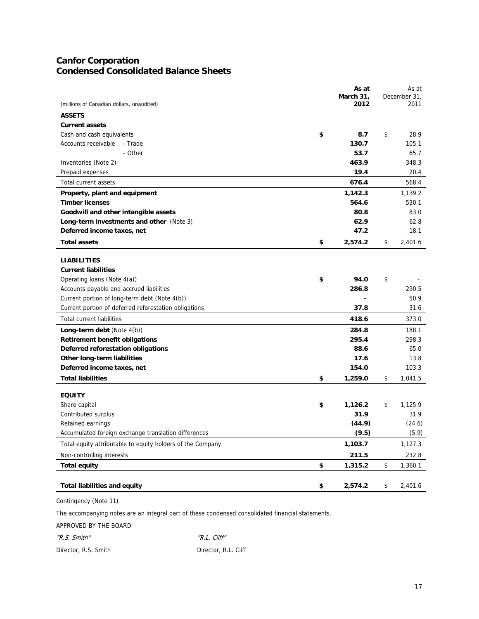# **Canfor Corporation Condensed Consolidated Balance Sheets**

|                                                                                           | As at             | As at                |
|-------------------------------------------------------------------------------------------|-------------------|----------------------|
| (millions of Canadian dollars, unaudited)                                                 | March 31,<br>2012 | December 31,<br>2011 |
| <b>ASSETS</b>                                                                             |                   |                      |
| <b>Current assets</b>                                                                     |                   |                      |
| \$<br>Cash and cash equivalents                                                           | 8.7               | \$<br>28.9           |
| Accounts receivable<br>- Trade                                                            | 130.7             | 105.1                |
| - Other                                                                                   | 53.7              | 65.7                 |
| Inventories (Note 2)                                                                      | 463.9             | 348.3                |
| Prepaid expenses                                                                          | 19.4              | 20.4                 |
| Total current assets                                                                      | 676.4             | 568.4                |
| Property, plant and equipment                                                             | 1,142.3           | 1,139.2              |
| <b>Timber licenses</b>                                                                    | 564.6             | 530.1                |
| Goodwill and other intangible assets                                                      | 80.8              | 83.0                 |
| Long-term investments and other (Note 3)                                                  | 62.9              | 62.8                 |
| Deferred income taxes, net                                                                | 47.2              | 18.1                 |
| \$<br><b>Total assets</b>                                                                 | 2,574.2           | \$<br>2,401.6        |
|                                                                                           |                   |                      |
| <b>LIABILITIES</b>                                                                        |                   |                      |
| <b>Current liabilities</b><br>\$                                                          | 94.0              | \$                   |
| Operating loans (Note 4(a))                                                               | 286.8             | 290.5                |
| Accounts payable and accrued liabilities<br>Current portion of long-term debt (Note 4(b)) |                   | 50.9                 |
| Current portion of deferred reforestation obligations                                     | 37.8              | 31.6                 |
|                                                                                           |                   |                      |
| <b>Total current liabilities</b>                                                          | 418.6             | 373.0                |
| <b>Long-term debt</b> (Note $4(b)$ )                                                      | 284.8             | 188.1                |
| <b>Retirement benefit obligations</b>                                                     | 295.4             | 298.3                |
| Deferred reforestation obligations                                                        | 88.6<br>17.6      | 65.0                 |
| Other long-term liabilities                                                               | 154.0             | 13.8<br>103.3        |
| Deferred income taxes, net                                                                |                   |                      |
| <b>Total liabilities</b><br>\$                                                            | 1,259.0           | \$<br>1,041.5        |
| <b>EQUITY</b>                                                                             |                   |                      |
| Share capital<br>\$                                                                       | 1,126.2           | \$<br>1,125.9        |
| Contributed surplus                                                                       | 31.9              | 31.9                 |
| Retained earnings                                                                         | (44.9)            | (24.6)               |
| Accumulated foreign exchange translation differences                                      | (9.5)             | (5.9)                |
| Total equity attributable to equity holders of the Company                                | 1,103.7           | 1,127.3              |
| Non-controlling interests                                                                 | 211.5             | 232.8                |
| \$<br><b>Total equity</b>                                                                 | 1,315.2           | \$<br>1,360.1        |
|                                                                                           |                   |                      |
| \$<br><b>Total liabilities and equity</b>                                                 | 2,574.2           | \$<br>2,401.6        |

Contingency (Note 11)

The accompanying notes are an integral part of these condensed consolidated financial statements.

APPROVED BY THE BOARD

"R.S. Smith" "R.L. Cliff"

Director, R.S. Smith Director, R.L. Cliff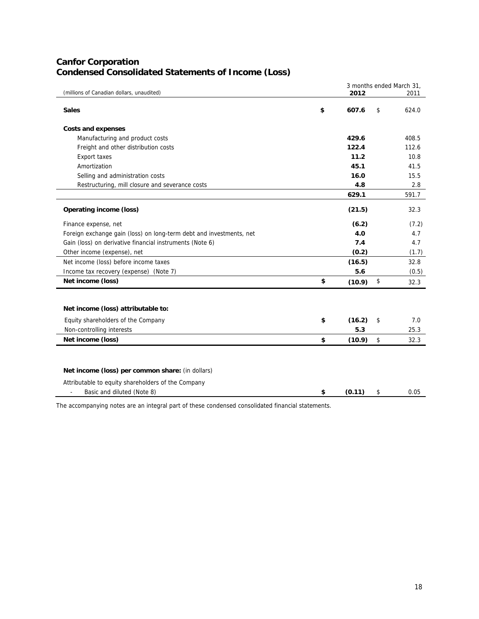# **Canfor Corporation Condensed Consolidated Statements of Income (Loss)**

|                                                                     |              | 3 months ended March 31, |
|---------------------------------------------------------------------|--------------|--------------------------|
| (millions of Canadian dollars, unaudited)                           | 2012         | 2011                     |
| <b>Sales</b>                                                        | \$<br>607.6  | \$<br>624.0              |
| <b>Costs and expenses</b>                                           |              |                          |
| Manufacturing and product costs                                     | 429.6        | 408.5                    |
| Freight and other distribution costs                                | 122.4        | 112.6                    |
| Export taxes                                                        | 11.2         | 10.8                     |
| Amortization                                                        | 45.1         | 41.5                     |
| Selling and administration costs                                    | 16.0         | 15.5                     |
| Restructuring, mill closure and severance costs                     | 4.8          | 2.8                      |
|                                                                     | 629.1        | 591.7                    |
| <b>Operating income (loss)</b>                                      | (21.5)       | 32.3                     |
| Finance expense, net                                                | (6.2)        | (7.2)                    |
| Foreign exchange gain (loss) on long-term debt and investments, net | 4.0          | 4.7                      |
| Gain (loss) on derivative financial instruments (Note 6)            | 7.4          | 4.7                      |
| Other income (expense), net                                         | (0.2)        | (1.7)                    |
| Net income (loss) before income taxes                               | (16.5)       | 32.8                     |
| Income tax recovery (expense) (Note 7)                              | 5.6          | (0.5)                    |
| Net income (loss)                                                   | \$<br>(10.9) | \$<br>32.3               |
|                                                                     |              |                          |
| Net income (loss) attributable to:                                  |              |                          |
| Equity shareholders of the Company                                  | \$<br>(16.2) | \$<br>7.0                |
| Non-controlling interests                                           | 5.3          | 25.3                     |
| Net income (loss)                                                   | \$<br>(10.9) | \$<br>32.3               |
|                                                                     |              |                          |
| Net income (loss) per common share: (in dollars)                    |              |                          |
| Attributable to equity shareholders of the Company                  |              |                          |
| Basic and diluted (Note 8)<br>$\bar{\phantom{a}}$                   | \$<br>(0.11) | \$<br>0.05               |
|                                                                     |              |                          |

The accompanying notes are an integral part of these condensed consolidated financial statements.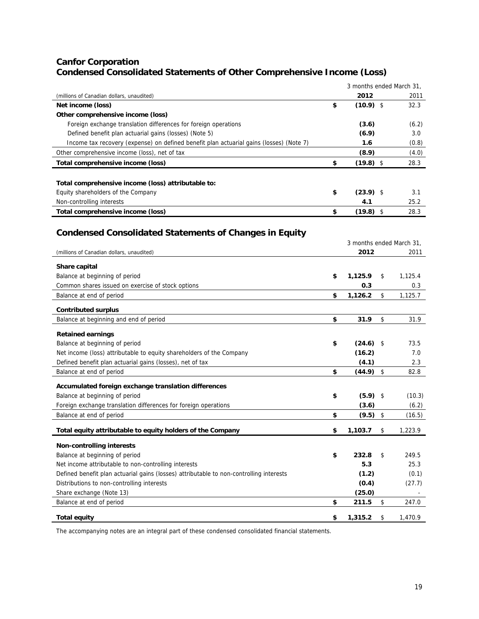# **Canfor Corporation Condensed Consolidated Statements of Other Comprehensive Income (Loss)**

|                                                                                         | 3 months ended March 31, |            |                          |
|-----------------------------------------------------------------------------------------|--------------------------|------------|--------------------------|
| (millions of Canadian dollars, unaudited)                                               | 2012                     |            | 2011                     |
| Net income (loss)                                                                       | \$<br>$(10.9)$ \$        |            | 32.3                     |
| Other comprehensive income (loss)                                                       |                          |            |                          |
| Foreign exchange translation differences for foreign operations                         | (3.6)                    |            | (6.2)                    |
| Defined benefit plan actuarial gains (losses) (Note 5)                                  | (6.9)                    |            | 3.0                      |
| Income tax recovery (expense) on defined benefit plan actuarial gains (losses) (Note 7) | 1.6                      |            | (0.8)                    |
| Other comprehensive income (loss), net of tax                                           | (8.9)                    |            | (4.0)                    |
| Total comprehensive income (loss)                                                       | \$<br>$(19.8)$ \$        |            | 28.3                     |
|                                                                                         |                          |            |                          |
| Total comprehensive income (loss) attributable to:                                      |                          |            |                          |
| Equity shareholders of the Company                                                      | \$<br>$(23.9)$ \$        |            | 3.1                      |
| Non-controlling interests                                                               | 4.1                      |            | 25.2                     |
| Total comprehensive income (loss)                                                       | \$<br>$(19.8)$ \$        |            | 28.3                     |
|                                                                                         |                          |            |                          |
| <b>Condensed Consolidated Statements of Changes in Equity</b>                           |                          |            |                          |
|                                                                                         |                          |            | 3 months ended March 31, |
| (millions of Canadian dollars, unaudited)                                               | 2012                     |            | 2011                     |
|                                                                                         |                          |            |                          |
| Share capital                                                                           |                          |            |                          |
| Balance at beginning of period                                                          | \$<br>1,125.9            | \$         | 1,125.4                  |
| Common shares issued on exercise of stock options                                       | 0.3                      |            | 0.3                      |
| Balance at end of period                                                                | \$<br>1,126.2            | \$         | 1,125.7                  |
| <b>Contributed surplus</b>                                                              |                          |            |                          |
| Balance at beginning and end of period                                                  | \$<br>31.9               | \$         | 31.9                     |
| <b>Retained earnings</b>                                                                |                          |            |                          |
| Balance at beginning of period                                                          | \$<br>$(24.6)$ \$        |            | 73.5                     |
| Net income (loss) attributable to equity shareholders of the Company                    | (16.2)                   |            | 7.0                      |
| Defined benefit plan actuarial gains (losses), net of tax                               | (4.1)                    |            | 2.3                      |
| Balance at end of period                                                                | \$<br>(44.9)             | \$         | 82.8                     |
|                                                                                         |                          |            |                          |
| Accumulated foreign exchange translation differences                                    |                          |            |                          |
| Balance at beginning of period                                                          | \$<br>$(5.9)$ \$         |            | (10.3)                   |
| Foreign exchange translation differences for foreign operations                         | (3.6)                    |            | (6.2)                    |
| Balance at end of period                                                                | \$<br>(9.5)              | \$         | (16.5)                   |
| Total equity attributable to equity holders of the Company                              | \$<br>1,103.7            | \$         | 1,223.9                  |
|                                                                                         |                          |            |                          |
| <b>Non-controlling interests</b>                                                        |                          |            |                          |
| Balance at beginning of period                                                          | \$<br>232.8              | \$         | 249.5                    |
| Net income attributable to non-controlling interests                                    | 5.3                      |            | 25.3                     |
| Defined benefit plan actuarial gains (losses) attributable to non-controlling interests | (1.2)                    |            | (0.1)                    |
| Distributions to non-controlling interests                                              | (0.4)                    |            | (27.7)                   |
| Share exchange (Note 13)                                                                | (25.0)                   |            |                          |
| Balance at end of period                                                                | \$<br>211.5              | \$         | 247.0                    |
| <b>Total equity</b>                                                                     | \$<br>1,315.2            | $\sqrt{5}$ | 1,470.9                  |

The accompanying notes are an integral part of these condensed consolidated financial statements.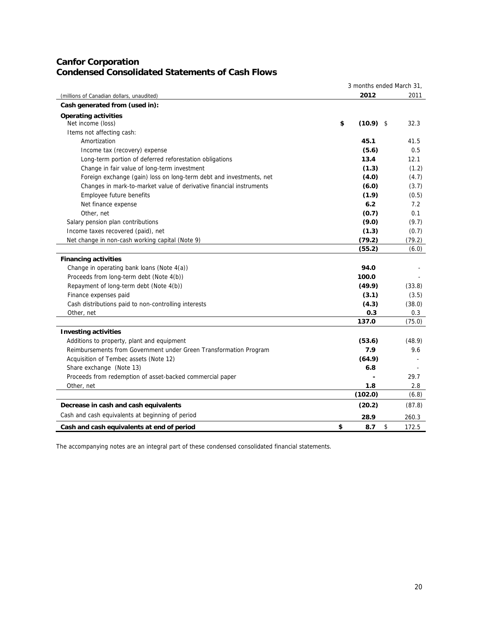# **Canfor Corporation Condensed Consolidated Statements of Cash Flows**

|                                                                     | 3 months ended March 31, |             |    |        |
|---------------------------------------------------------------------|--------------------------|-------------|----|--------|
| (millions of Canadian dollars, unaudited)                           |                          | 2012        |    | 2011   |
| Cash generated from (used in):                                      |                          |             |    |        |
| <b>Operating activities</b>                                         |                          |             |    |        |
| Net income (loss)                                                   | \$                       | $(10.9)$ \$ |    | 32.3   |
| Items not affecting cash:                                           |                          |             |    |        |
| Amortization                                                        |                          | 45.1        |    | 41.5   |
| Income tax (recovery) expense                                       |                          | (5.6)       |    | 0.5    |
| Long-term portion of deferred reforestation obligations             |                          | 13.4        |    | 12.1   |
| Change in fair value of long-term investment                        |                          | (1.3)       |    | (1.2)  |
| Foreign exchange (gain) loss on long-term debt and investments, net |                          | (4.0)       |    | (4.7)  |
| Changes in mark-to-market value of derivative financial instruments |                          | (6.0)       |    | (3.7)  |
| Employee future benefits                                            |                          | (1.9)       |    | (0.5)  |
| Net finance expense                                                 |                          | 6.2         |    | 7.2    |
| Other, net                                                          |                          | (0.7)       |    | 0.1    |
| Salary pension plan contributions                                   |                          | (9.0)       |    | (9.7)  |
| Income taxes recovered (paid), net                                  |                          | (1.3)       |    | (0.7)  |
| Net change in non-cash working capital (Note 9)                     |                          | (79.2)      |    | (79.2) |
|                                                                     |                          | (55.2)      |    | (6.0)  |
| <b>Financing activities</b>                                         |                          |             |    |        |
| Change in operating bank loans (Note 4(a))                          |                          | 94.0        |    |        |
| Proceeds from long-term debt (Note 4(b))                            |                          | 100.0       |    |        |
| Repayment of long-term debt (Note 4(b))                             |                          | (49.9)      |    | (33.8) |
| Finance expenses paid                                               |                          | (3.1)       |    | (3.5)  |
| Cash distributions paid to non-controlling interests                |                          | (4.3)       |    | (38.0) |
| Other, net                                                          |                          | 0.3         |    | 0.3    |
|                                                                     |                          | 137.0       |    | (75.0) |
| <b>Investing activities</b>                                         |                          |             |    |        |
| Additions to property, plant and equipment                          |                          | (53.6)      |    | (48.9) |
| Reimbursements from Government under Green Transformation Program   |                          | 7.9         |    | 9.6    |
| Acquisition of Tembec assets (Note 12)                              |                          | (64.9)      |    |        |
| Share exchange (Note 13)                                            |                          | 6.8         |    |        |
| Proceeds from redemption of asset-backed commercial paper           |                          |             |    | 29.7   |
| Other, net                                                          |                          | 1.8         |    | 2.8    |
|                                                                     |                          | (102.0)     |    | (6.8)  |
| Decrease in cash and cash equivalents                               |                          | (20.2)      |    | (87.8) |
| Cash and cash equivalents at beginning of period                    |                          | 28.9        |    | 260.3  |
| Cash and cash equivalents at end of period                          | \$                       | 8.7         | \$ | 172.5  |

The accompanying notes are an integral part of these condensed consolidated financial statements.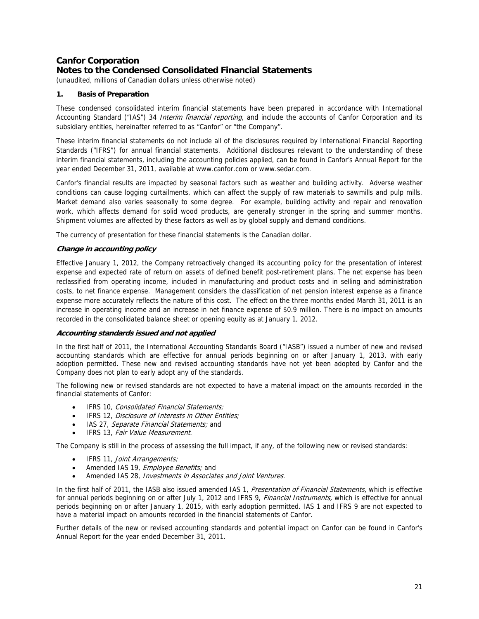# **Canfor Corporation Notes to the Condensed Consolidated Financial Statements**

(unaudited, millions of Canadian dollars unless otherwise noted)

# **1. Basis of Preparation**

These condensed consolidated interim financial statements have been prepared in accordance with International Accounting Standard ("IAS") 34 *Interim financial reporting*, and include the accounts of Canfor Corporation and its subsidiary entities, hereinafter referred to as "Canfor" or "the Company".

These interim financial statements do not include all of the disclosures required by International Financial Reporting Standards ("IFRS") for annual financial statements. Additional disclosures relevant to the understanding of these interim financial statements, including the accounting policies applied, can be found in Canfor's Annual Report for the year ended December 31, 2011, available at www.canfor.com or www.sedar.com.

Canfor's financial results are impacted by seasonal factors such as weather and building activity. Adverse weather conditions can cause logging curtailments, which can affect the supply of raw materials to sawmills and pulp mills. Market demand also varies seasonally to some degree. For example, building activity and repair and renovation work, which affects demand for solid wood products, are generally stronger in the spring and summer months. Shipment volumes are affected by these factors as well as by global supply and demand conditions.

The currency of presentation for these financial statements is the Canadian dollar.

# **Change in accounting policy**

Effective January 1, 2012, the Company retroactively changed its accounting policy for the presentation of interest expense and expected rate of return on assets of defined benefit post-retirement plans. The net expense has been reclassified from operating income, included in manufacturing and product costs and in selling and administration costs, to net finance expense. Management considers the classification of net pension interest expense as a finance expense more accurately reflects the nature of this cost. The effect on the three months ended March 31, 2011 is an increase in operating income and an increase in net finance expense of \$0.9 million. There is no impact on amounts recorded in the consolidated balance sheet or opening equity as at January 1, 2012.

# **Accounting standards issued and not applied**

In the first half of 2011, the International Accounting Standards Board ("IASB") issued a number of new and revised accounting standards which are effective for annual periods beginning on or after January 1, 2013, with early adoption permitted. These new and revised accounting standards have not yet been adopted by Canfor and the Company does not plan to early adopt any of the standards.

The following new or revised standards are not expected to have a material impact on the amounts recorded in the financial statements of Canfor:

- IFRS 10, Consolidated Financial Statements;
- IFRS 12, Disclosure of Interests in Other Entities;
- IAS 27, Separate Financial Statements; and
- IFRS 13, Fair Value Measurement.

The Company is still in the process of assessing the full impact, if any, of the following new or revised standards:

- IFRS 11, Joint Arrangements;
- Amended IAS 19, *Employee Benefits;* and
- Amended IAS 28, Investments in Associates and Joint Ventures.

In the first half of 2011, the IASB also issued amended IAS 1, Presentation of Financial Statements, which is effective for annual periods beginning on or after July 1, 2012 and IFRS 9, Financial Instruments, which is effective for annual periods beginning on or after January 1, 2015, with early adoption permitted. IAS 1 and IFRS 9 are not expected to have a material impact on amounts recorded in the financial statements of Canfor.

Further details of the new or revised accounting standards and potential impact on Canfor can be found in Canfor's Annual Report for the year ended December 31, 2011.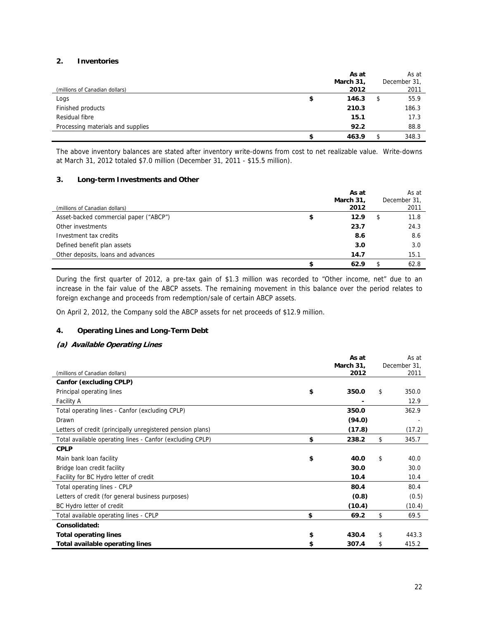# **2. Inventories**

|                                   | As at       | As at        |
|-----------------------------------|-------------|--------------|
|                                   | March 31,   | December 31, |
| (millions of Canadian dollars)    | 2012        | 2011         |
| Logs                              | \$<br>146.3 | \$<br>55.9   |
| Finished products                 | 210.3       | 186.3        |
| Residual fibre                    | 15.1        | 17.3         |
| Processing materials and supplies | 92.2        | 88.8         |
|                                   | \$<br>463.9 | 348.3        |

The above inventory balances are stated after inventory write-downs from cost to net realizable value. Write-downs at March 31, 2012 totaled \$7.0 million (December 31, 2011 - \$15.5 million).

## **3. Long-term Investments and Other**

|                                        | As at      |   | As at        |
|----------------------------------------|------------|---|--------------|
|                                        | March 31,  |   | December 31, |
| (millions of Canadian dollars)         | 2012       |   | 2011         |
| Asset-backed commercial paper ("ABCP") | \$<br>12.9 | S | 11.8         |
| Other investments                      | 23.7       |   | 24.3         |
| Investment tax credits                 | 8.6        |   | 8.6          |
| Defined benefit plan assets            | 3.0        |   | 3.0          |
| Other deposits, loans and advances     | 14.7       |   | 15.1         |
|                                        | 62.9       |   | 62.8         |

During the first quarter of 2012, a pre-tax gain of \$1.3 million was recorded to "Other income, net" due to an increase in the fair value of the ABCP assets. The remaining movement in this balance over the period relates to foreign exchange and proceeds from redemption/sale of certain ABCP assets.

On April 2, 2012, the Company sold the ABCP assets for net proceeds of \$12.9 million.

# **4. Operating Lines and Long-Term Debt**

# **(a) Available Operating Lines**

|                                                            | As at       | As at        |
|------------------------------------------------------------|-------------|--------------|
|                                                            | March 31,   | December 31, |
| (millions of Canadian dollars)                             | 2012        | 2011         |
| Canfor (excluding CPLP)                                    |             |              |
| Principal operating lines                                  | \$<br>350.0 | \$<br>350.0  |
| <b>Facility A</b>                                          |             | 12.9         |
| Total operating lines - Canfor (excluding CPLP)            | 350.0       | 362.9        |
| Drawn                                                      | (94.0)      |              |
| Letters of credit (principally unregistered pension plans) | (17.8)      | (17.2)       |
| Total available operating lines - Canfor (excluding CPLP)  | \$<br>238.2 | \$<br>345.7  |
| <b>CPLP</b>                                                |             |              |
| Main bank loan facility                                    | \$<br>40.0  | \$<br>40.0   |
| Bridge loan credit facility                                | 30.0        | 30.0         |
| Facility for BC Hydro letter of credit                     | 10.4        | 10.4         |
| Total operating lines - CPLP                               | 80.4        | 80.4         |
| Letters of credit (for general business purposes)          | (0.8)       | (0.5)        |
| BC Hydro letter of credit                                  | (10.4)      | (10.4)       |
| Total available operating lines - CPLP                     | \$<br>69.2  | \$<br>69.5   |
| Consolidated:                                              |             |              |
| <b>Total operating lines</b>                               | \$<br>430.4 | \$<br>443.3  |
| Total available operating lines                            | \$<br>307.4 | \$<br>415.2  |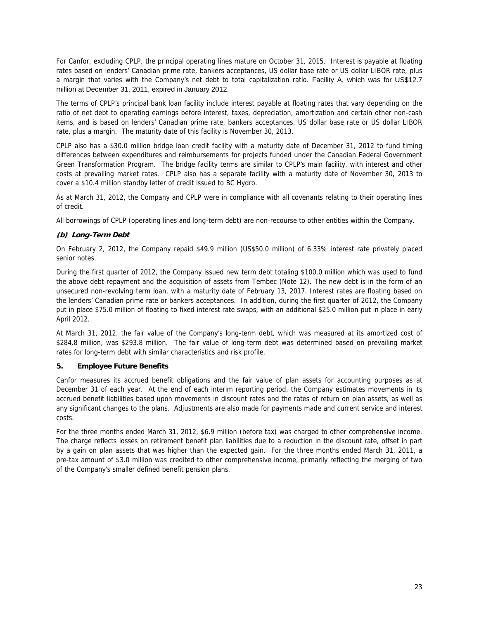For Canfor, excluding CPLP, the principal operating lines mature on October 31, 2015. Interest is payable at floating rates based on lenders' Canadian prime rate, bankers acceptances, US dollar base rate or US dollar LIBOR rate, plus a margin that varies with the Company's net debt to total capitalization ratio. Facility A, which was for US\$12.7 million at December 31, 2011, expired in January 2012.

The terms of CPLP's principal bank loan facility include interest payable at floating rates that vary depending on the ratio of net debt to operating earnings before interest, taxes, depreciation, amortization and certain other non-cash items, and is based on lenders' Canadian prime rate, bankers acceptances, US dollar base rate or US dollar LIBOR rate, plus a margin. The maturity date of this facility is November 30, 2013.

CPLP also has a \$30.0 million bridge loan credit facility with a maturity date of December 31, 2012 to fund timing differences between expenditures and reimbursements for projects funded under the Canadian Federal Government Green Transformation Program. The bridge facility terms are similar to CPLP's main facility, with interest and other costs at prevailing market rates. CPLP also has a separate facility with a maturity date of November 30, 2013 to cover a \$10.4 million standby letter of credit issued to BC Hydro.

As at March 31, 2012, the Company and CPLP were in compliance with all covenants relating to their operating lines of credit.

All borrowings of CPLP (operating lines and long-term debt) are non-recourse to other entities within the Company.

# **(b) Long-Term Debt**

On February 2, 2012, the Company repaid \$49.9 million (US\$50.0 million) of 6.33% interest rate privately placed senior notes.

During the first quarter of 2012, the Company issued new term debt totaling \$100.0 million which was used to fund the above debt repayment and the acquisition of assets from Tembec (Note 12). The new debt is in the form of an unsecured non-revolving term loan, with a maturity date of February 13, 2017. Interest rates are floating based on the lenders' Canadian prime rate or bankers acceptances. In addition, during the first quarter of 2012, the Company put in place \$75.0 million of floating to fixed interest rate swaps, with an additional \$25.0 million put in place in early April 2012.

At March 31, 2012, the fair value of the Company's long-term debt, which was measured at its amortized cost of \$284.8 million, was \$293.8 million. The fair value of long-term debt was determined based on prevailing market rates for long-term debt with similar characteristics and risk profile.

# **5. Employee Future Benefits**

Canfor measures its accrued benefit obligations and the fair value of plan assets for accounting purposes as at December 31 of each year. At the end of each interim reporting period, the Company estimates movements in its accrued benefit liabilities based upon movements in discount rates and the rates of return on plan assets, as well as any significant changes to the plans. Adjustments are also made for payments made and current service and interest costs.

For the three months ended March 31, 2012, \$6.9 million (before tax) was charged to other comprehensive income. The charge reflects losses on retirement benefit plan liabilities due to a reduction in the discount rate, offset in part by a gain on plan assets that was higher than the expected gain. For the three months ended March 31, 2011, a pre-tax amount of \$3.0 million was credited to other comprehensive income, primarily reflecting the merging of two of the Company's smaller defined benefit pension plans.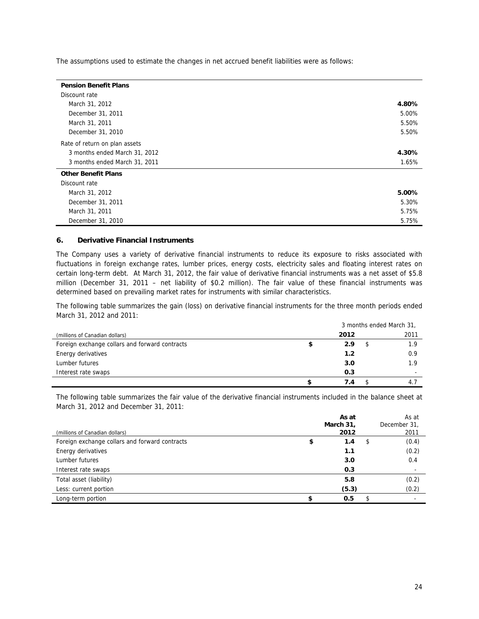The assumptions used to estimate the changes in net accrued benefit liabilities were as follows:

| <b>Pension Benefit Plans</b>  |       |
|-------------------------------|-------|
| Discount rate                 |       |
| March 31, 2012                | 4.80% |
| December 31, 2011             | 5.00% |
| March 31, 2011                | 5.50% |
| December 31, 2010             | 5.50% |
| Rate of return on plan assets |       |
| 3 months ended March 31, 2012 | 4.30% |
| 3 months ended March 31, 2011 | 1.65% |
| <b>Other Benefit Plans</b>    |       |
| Discount rate                 |       |
| March 31, 2012                | 5.00% |
| December 31, 2011             | 5.30% |
| March 31, 2011                | 5.75% |
| December 31, 2010             | 5.75% |

# **6. Derivative Financial Instruments**

The Company uses a variety of derivative financial instruments to reduce its exposure to risks associated with fluctuations in foreign exchange rates, lumber prices, energy costs, electricity sales and floating interest rates on certain long-term debt. At March 31, 2012, the fair value of derivative financial instruments was a net asset of \$5.8 million (December 31, 2011 – net liability of \$0.2 million). The fair value of these financial instruments was determined based on prevailing market rates for instruments with similar characteristics.

The following table summarizes the gain (loss) on derivative financial instruments for the three month periods ended March 31, 2012 and 2011:

|                                                |   |      | 3 months ended March 31, |
|------------------------------------------------|---|------|--------------------------|
| (millions of Canadian dollars)                 |   | 2012 | 2011                     |
| Foreign exchange collars and forward contracts | S | 2.9  | 1.9                      |
| Energy derivatives                             |   | 1.2  | 0.9                      |
| Lumber futures                                 |   | 3.0  | 1.9                      |
| Interest rate swaps                            |   | 0.3  | $\overline{\phantom{0}}$ |
|                                                |   | 7.4  |                          |

The following table summarizes the fair value of the derivative financial instruments included in the balance sheet at March 31, 2012 and December 31, 2011:

|                                                | As at     | As at        |
|------------------------------------------------|-----------|--------------|
|                                                | March 31, | December 31, |
| (millions of Canadian dollars)                 | 2012      | 2011         |
| Foreign exchange collars and forward contracts | \$<br>1.4 | (0.4)        |
| Energy derivatives                             | 1.1       | (0.2)        |
| Lumber futures                                 | 3.0       | 0.4          |
| Interest rate swaps                            | 0.3       |              |
| Total asset (liability)                        | 5.8       | (0.2)        |
| Less: current portion                          | (5.3)     | (0.2)        |
| Long-term portion                              | 0.5       |              |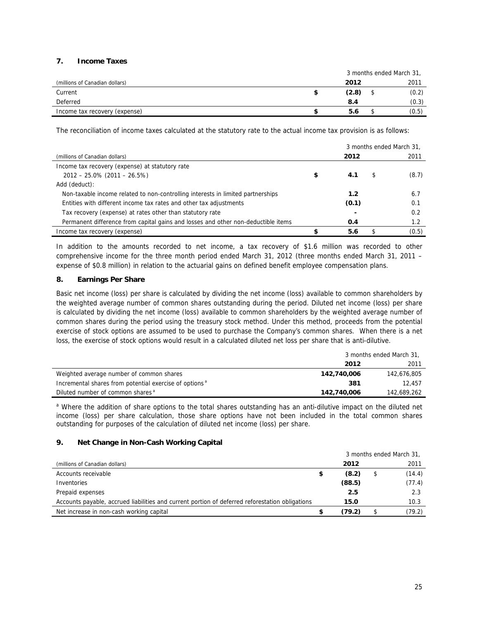# **7. Income Taxes**

|                                | 3 months ended March 31, |  |       |
|--------------------------------|--------------------------|--|-------|
| (millions of Canadian dollars) | 2012                     |  | 2011  |
| Current                        | (2.8)                    |  | (0.2) |
| Deferred                       | 8.4                      |  | (0.3) |
| Income tax recovery (expense)  | 5.6                      |  | (0.5) |

The reconciliation of income taxes calculated at the statutory rate to the actual income tax provision is as follows:

|                                                                                   |    |       | 3 months ended March 31, |       |  |  |
|-----------------------------------------------------------------------------------|----|-------|--------------------------|-------|--|--|
| (millions of Canadian dollars)                                                    |    | 2012  |                          | 2011  |  |  |
| Income tax recovery (expense) at statutory rate                                   |    |       |                          |       |  |  |
| $2012 - 25.0\%$ (2011 - 26.5%)                                                    | \$ | 4.1   |                          | (8.7) |  |  |
| Add (deduct):                                                                     |    |       |                          |       |  |  |
| Non-taxable income related to non-controlling interests in limited partnerships   |    | 1.2   |                          | 6.7   |  |  |
| Entities with different income tax rates and other tax adjustments                |    | (0.1) |                          | 0.1   |  |  |
| Tax recovery (expense) at rates other than statutory rate                         |    |       |                          | 0.2   |  |  |
| Permanent difference from capital gains and losses and other non-deductible items |    | 0.4   |                          | 1.2   |  |  |
| Income tax recovery (expense)                                                     |    | 5.6   |                          | (0.5) |  |  |

In addition to the amounts recorded to net income, a tax recovery of \$1.6 million was recorded to other comprehensive income for the three month period ended March 31, 2012 (three months ended March 31, 2011 – expense of \$0.8 million) in relation to the actuarial gains on defined benefit employee compensation plans.

# **8. Earnings Per Share**

Basic net income (loss) per share is calculated by dividing the net income (loss) available to common shareholders by the weighted average number of common shares outstanding during the period. Diluted net income (loss) per share is calculated by dividing the net income (loss) available to common shareholders by the weighted average number of common shares during the period using the treasury stock method. Under this method, proceeds from the potential exercise of stock options are assumed to be used to purchase the Company's common shares. When there is a net loss, the exercise of stock options would result in a calculated diluted net loss per share that is anti-dilutive.

|                                                                    | 3 months ended March 31, |             |  |
|--------------------------------------------------------------------|--------------------------|-------------|--|
|                                                                    | 2012                     | 2011        |  |
| Weighted average number of common shares                           | 142.740.006              | 142,676,805 |  |
| Incremental shares from potential exercise of options <sup>a</sup> | 381                      | 12.457      |  |
| Diluted number of common shares <sup>a</sup>                       | 142,740,006              | 142,689,262 |  |

<sup>a</sup> Where the addition of share options to the total shares outstanding has an anti-dilutive impact on the diluted net income (loss) per share calculation, those share options have not been included in the total common shares outstanding for purposes of the calculation of diluted net income (loss) per share.

#### **9. Net Change in Non-Cash Working Capital**

| (millions of Canadian dollars)                                                                  |  | 2012   |  | 2011   |
|-------------------------------------------------------------------------------------------------|--|--------|--|--------|
| Accounts receivable                                                                             |  | (8.2)  |  | (14.4) |
| Inventories                                                                                     |  | (88.5) |  | (77.4) |
| Prepaid expenses                                                                                |  | 2.5    |  | 2.3    |
| Accounts payable, accrued liabilities and current portion of deferred reforestation obligations |  | 15.0   |  | 10.3   |
| Net increase in non-cash working capital                                                        |  | (79.2) |  | (79.2) |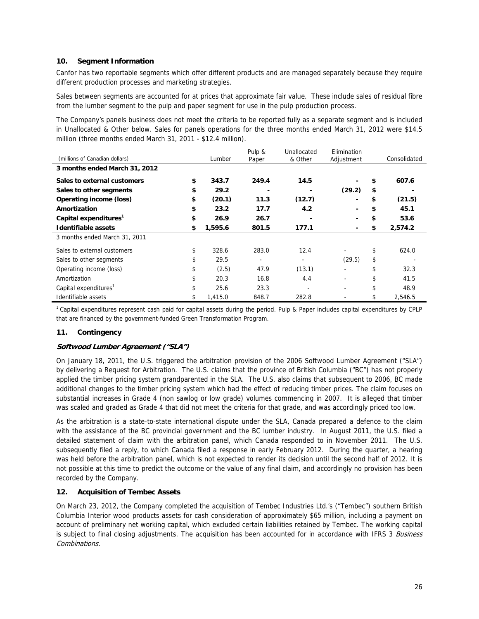## **10. Segment Information**

Canfor has two reportable segments which offer different products and are managed separately because they require different production processes and marketing strategies.

Sales between segments are accounted for at prices that approximate fair value. These include sales of residual fibre from the lumber segment to the pulp and paper segment for use in the pulp production process.

The Company's panels business does not meet the criteria to be reported fully as a separate segment and is included in Unallocated & Other below. Sales for panels operations for the three months ended March 31, 2012 were \$14.5 million (three months ended March 31, 2011 - \$12.4 million).

|                                   |               | Pulp &                   | Unallocated | Elimination |               |
|-----------------------------------|---------------|--------------------------|-------------|-------------|---------------|
| (millions of Canadian dollars)    | Lumber        | Paper                    | & Other     | Adjustment  | Consolidated  |
| 3 months ended March 31, 2012     |               |                          |             |             |               |
| Sales to external customers       | \$<br>343.7   | 249.4                    | 14.5        |             | \$<br>607.6   |
| Sales to other segments           | \$<br>29.2    |                          |             | (29.2)      | \$            |
| Operating income (loss)           | \$<br>(20.1)  | 11.3                     | (12.7)      |             | \$<br>(21.5)  |
| Amortization                      | \$<br>23.2    | 17.7                     | 4.2         |             | \$<br>45.1    |
| Capital expenditures <sup>1</sup> | \$<br>26.9    | 26.7                     |             |             | \$<br>53.6    |
| <b>Identifiable assets</b>        | \$<br>1,595.6 | 801.5                    | 177.1       |             | \$<br>2,574.2 |
| 3 months ended March 31, 2011     |               |                          |             |             |               |
| Sales to external customers       | \$<br>328.6   | 283.0                    | 12.4        |             | \$<br>624.0   |
| Sales to other segments           | \$<br>29.5    | $\overline{\phantom{a}}$ |             | (29.5)      | \$            |
| Operating income (loss)           | \$<br>(2.5)   | 47.9                     | (13.1)      | ٠           | \$<br>32.3    |
| Amortization                      | \$<br>20.3    | 16.8                     | 4.4         | ٠           | \$<br>41.5    |
| Capital expenditures <sup>1</sup> | \$<br>25.6    | 23.3                     |             | ٠           | \$<br>48.9    |
| Identifiable assets               | \$<br>1,415.0 | 848.7                    | 282.8       | -           | \$<br>2,546.5 |

<sup>1</sup> Capital expenditures represent cash paid for capital assets during the period. Pulp & Paper includes capital expenditures by CPLP that are financed by the government-funded Green Transformation Program.

# **11. Contingency**

# **Softwood Lumber Agreement ("SLA")**

On January 18, 2011, the U.S. triggered the arbitration provision of the 2006 Softwood Lumber Agreement ("SLA") by delivering a Request for Arbitration. The U.S. claims that the province of British Columbia ("BC") has not properly applied the timber pricing system grandparented in the SLA. The U.S. also claims that subsequent to 2006, BC made additional changes to the timber pricing system which had the effect of reducing timber prices. The claim focuses on substantial increases in Grade 4 (non sawlog or low grade) volumes commencing in 2007. It is alleged that timber was scaled and graded as Grade 4 that did not meet the criteria for that grade, and was accordingly priced too low.

As the arbitration is a state-to-state international dispute under the SLA, Canada prepared a defence to the claim with the assistance of the BC provincial government and the BC lumber industry. In August 2011, the U.S. filed a detailed statement of claim with the arbitration panel, which Canada responded to in November 2011. The U.S. subsequently filed a reply, to which Canada filed a response in early February 2012. During the quarter, a hearing was held before the arbitration panel, which is not expected to render its decision until the second half of 2012. It is not possible at this time to predict the outcome or the value of any final claim, and accordingly no provision has been recorded by the Company.

# **12. Acquisition of Tembec Assets**

On March 23, 2012, the Company completed the acquisition of Tembec Industries Ltd.'s ("Tembec") southern British Columbia Interior wood products assets for cash consideration of approximately \$65 million, including a payment on account of preliminary net working capital, which excluded certain liabilities retained by Tembec. The working capital is subject to final closing adjustments. The acquisition has been accounted for in accordance with IFRS 3 Business Combinations.